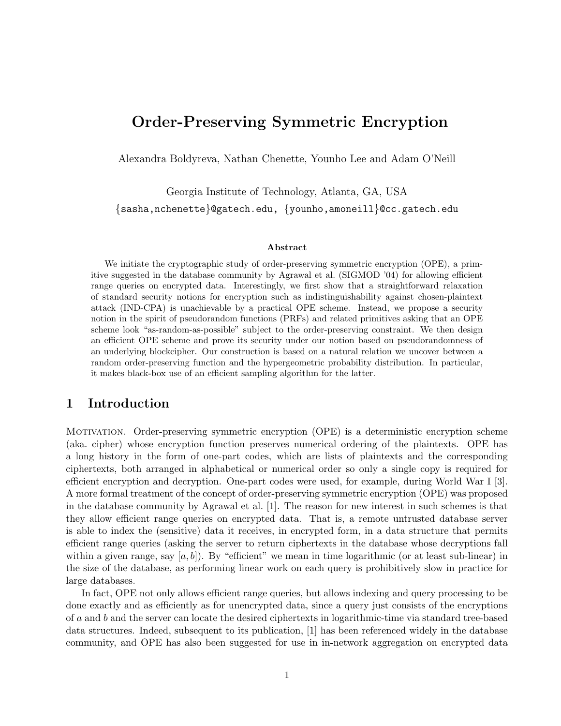# Order-Preserving Symmetric Encryption

Alexandra Boldyreva, Nathan Chenette, Younho Lee and Adam O'Neill

Georgia Institute of Technology, Atlanta, GA, USA {sasha,nchenette}@gatech.edu, {younho,amoneill}@cc.gatech.edu

#### Abstract

We initiate the cryptographic study of order-preserving symmetric encryption (OPE), a primitive suggested in the database community by Agrawal et al. (SIGMOD '04) for allowing efficient range queries on encrypted data. Interestingly, we first show that a straightforward relaxation of standard security notions for encryption such as indistinguishability against chosen-plaintext attack (IND-CPA) is unachievable by a practical OPE scheme. Instead, we propose a security notion in the spirit of pseudorandom functions (PRFs) and related primitives asking that an OPE scheme look "as-random-as-possible" subject to the order-preserving constraint. We then design an efficient OPE scheme and prove its security under our notion based on pseudorandomness of an underlying blockcipher. Our construction is based on a natural relation we uncover between a random order-preserving function and the hypergeometric probability distribution. In particular, it makes black-box use of an efficient sampling algorithm for the latter.

### 1 Introduction

Motivation. Order-preserving symmetric encryption (OPE) is a deterministic encryption scheme (aka. cipher) whose encryption function preserves numerical ordering of the plaintexts. OPE has a long history in the form of one-part codes, which are lists of plaintexts and the corresponding ciphertexts, both arranged in alphabetical or numerical order so only a single copy is required for efficient encryption and decryption. One-part codes were used, for example, during World War I [3]. A more formal treatment of the concept of order-preserving symmetric encryption (OPE) was proposed in the database community by Agrawal et al. [1]. The reason for new interest in such schemes is that they allow efficient range queries on encrypted data. That is, a remote untrusted database server is able to index the (sensitive) data it receives, in encrypted form, in a data structure that permits efficient range queries (asking the server to return ciphertexts in the database whose decryptions fall within a given range, say  $[a, b]$ ). By "efficient" we mean in time logarithmic (or at least sub-linear) in the size of the database, as performing linear work on each query is prohibitively slow in practice for large databases.

In fact, OPE not only allows efficient range queries, but allows indexing and query processing to be done exactly and as efficiently as for unencrypted data, since a query just consists of the encryptions of a and b and the server can locate the desired ciphertexts in logarithmic-time via standard tree-based data structures. Indeed, subsequent to its publication, [1] has been referenced widely in the database community, and OPE has also been suggested for use in in-network aggregation on encrypted data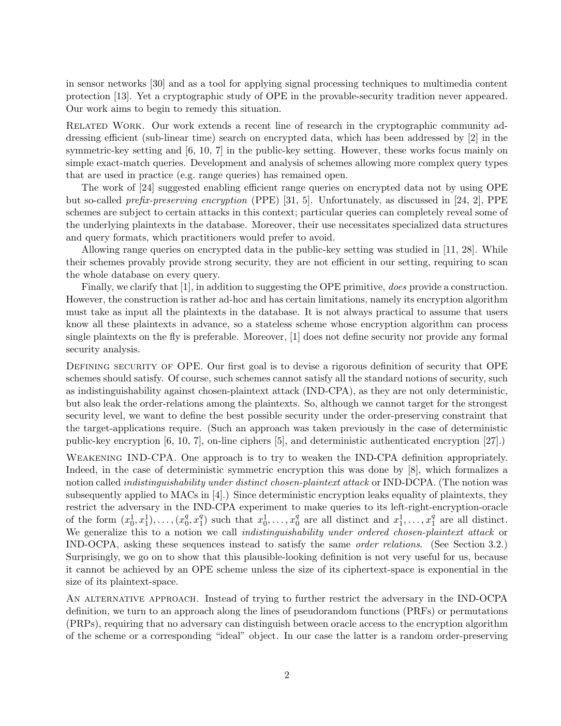in sensor networks [30] and as a tool for applying signal processing techniques to multimedia content protection [13]. Yet a cryptographic study of OPE in the provable-security tradition never appeared. Our work aims to begin to remedy this situation.

RELATED WORK. Our work extends a recent line of research in the cryptographic community addressing efficient (sub-linear time) search on encrypted data, which has been addressed by [2] in the symmetric-key setting and [6, 10, 7] in the public-key setting. However, these works focus mainly on simple exact-match queries. Development and analysis of schemes allowing more complex query types that are used in practice (e.g. range queries) has remained open.

The work of [24] suggested enabling efficient range queries on encrypted data not by using OPE but so-called prefix-preserving encryption (PPE) [31, 5]. Unfortunately, as discussed in [24, 2], PPE schemes are subject to certain attacks in this context; particular queries can completely reveal some of the underlying plaintexts in the database. Moreover, their use necessitates specialized data structures and query formats, which practitioners would prefer to avoid.

Allowing range queries on encrypted data in the public-key setting was studied in [11, 28]. While their schemes provably provide strong security, they are not efficient in our setting, requiring to scan the whole database on every query.

Finally, we clarify that [1], in addition to suggesting the OPE primitive, *does* provide a construction. However, the construction is rather ad-hoc and has certain limitations, namely its encryption algorithm must take as input all the plaintexts in the database. It is not always practical to assume that users know all these plaintexts in advance, so a stateless scheme whose encryption algorithm can process single plaintexts on the fly is preferable. Moreover, [1] does not define security nor provide any formal security analysis.

DEFINING SECURITY OF OPE. Our first goal is to devise a rigorous definition of security that OPE schemes should satisfy. Of course, such schemes cannot satisfy all the standard notions of security, such as indistinguishability against chosen-plaintext attack (IND-CPA), as they are not only deterministic, but also leak the order-relations among the plaintexts. So, although we cannot target for the strongest security level, we want to define the best possible security under the order-preserving constraint that the target-applications require. (Such an approach was taken previously in the case of deterministic public-key encryption [6, 10, 7], on-line ciphers [5], and deterministic authenticated encryption [27].)

Weakening IND-CPA. One approach is to try to weaken the IND-CPA definition appropriately. Indeed, in the case of deterministic symmetric encryption this was done by [8], which formalizes a notion called *indistinguishability under distinct chosen-plaintext attack* or IND-DCPA. (The notion was subsequently applied to MACs in [4].) Since deterministic encryption leaks equality of plaintexts, they restrict the adversary in the IND-CPA experiment to make queries to its left-right-encryption-oracle of the form  $(x_0^1, x_1^1), \ldots, (x_0^q)$  $\frac{q}{0}, x_1^q$  $x_1^q$ ) such that  $x_0^1, \ldots, x_0^q$  $\frac{q}{0}$  are all distinct and  $x_1^1, \ldots, x_1^q$  $_1^q$  are all distinct. We generalize this to a notion we call *indistinguishability under ordered chosen-plaintext attack* or IND-OCPA, asking these sequences instead to satisfy the same order relations. (See Section 3.2.) Surprisingly, we go on to show that this plausible-looking definition is not very useful for us, because it cannot be achieved by an OPE scheme unless the size of its ciphertext-space is exponential in the size of its plaintext-space.

An alternative approach. Instead of trying to further restrict the adversary in the IND-OCPA definition, we turn to an approach along the lines of pseudorandom functions (PRFs) or permutations (PRPs), requiring that no adversary can distinguish between oracle access to the encryption algorithm of the scheme or a corresponding "ideal" object. In our case the latter is a random order-preserving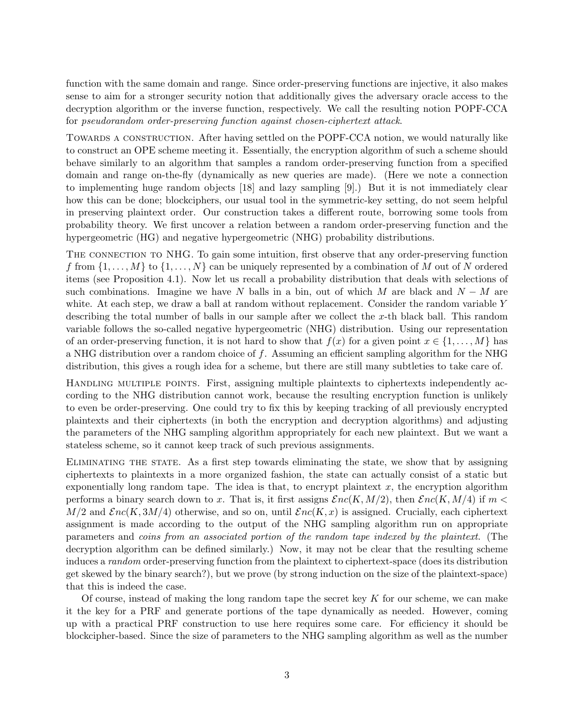function with the same domain and range. Since order-preserving functions are injective, it also makes sense to aim for a stronger security notion that additionally gives the adversary oracle access to the decryption algorithm or the inverse function, respectively. We call the resulting notion POPF-CCA for pseudorandom order-preserving function against chosen-ciphertext attack.

TOWARDS A CONSTRUCTION. After having settled on the POPF-CCA notion, we would naturally like to construct an OPE scheme meeting it. Essentially, the encryption algorithm of such a scheme should behave similarly to an algorithm that samples a random order-preserving function from a specified domain and range on-the-fly (dynamically as new queries are made). (Here we note a connection to implementing huge random objects [18] and lazy sampling [9].) But it is not immediately clear how this can be done; blockciphers, our usual tool in the symmetric-key setting, do not seem helpful in preserving plaintext order. Our construction takes a different route, borrowing some tools from probability theory. We first uncover a relation between a random order-preserving function and the hypergeometric (HG) and negative hypergeometric (NHG) probability distributions.

THE CONNECTION TO NHG. To gain some intuition, first observe that any order-preserving function f from  $\{1,\ldots,M\}$  to  $\{1,\ldots,N\}$  can be uniquely represented by a combination of M out of N ordered items (see Proposition 4.1). Now let us recall a probability distribution that deals with selections of such combinations. Imagine we have N balls in a bin, out of which M are black and  $N - M$  are white. At each step, we draw a ball at random without replacement. Consider the random variable Y describing the total number of balls in our sample after we collect the x-th black ball. This random variable follows the so-called negative hypergeometric (NHG) distribution. Using our representation of an order-preserving function, it is not hard to show that  $f(x)$  for a given point  $x \in \{1, \ldots, M\}$  has a NHG distribution over a random choice of f. Assuming an efficient sampling algorithm for the NHG distribution, this gives a rough idea for a scheme, but there are still many subtleties to take care of.

HANDLING MULTIPLE POINTS. First, assigning multiple plaintexts to ciphertexts independently according to the NHG distribution cannot work, because the resulting encryption function is unlikely to even be order-preserving. One could try to fix this by keeping tracking of all previously encrypted plaintexts and their ciphertexts (in both the encryption and decryption algorithms) and adjusting the parameters of the NHG sampling algorithm appropriately for each new plaintext. But we want a stateless scheme, so it cannot keep track of such previous assignments.

Eliminating the state. As a first step towards eliminating the state, we show that by assigning ciphertexts to plaintexts in a more organized fashion, the state can actually consist of a static but exponentially long random tape. The idea is that, to encrypt plaintext  $x$ , the encryption algorithm performs a binary search down to x. That is, it first assigns  $\mathcal{E}nc(K, M/2)$ , then  $\mathcal{E}nc(K, M/4)$  if  $m <$  $M/2$  and  $\mathcal{E}nc(K, 3M/4)$  otherwise, and so on, until  $\mathcal{E}nc(K, x)$  is assigned. Crucially, each ciphertext assignment is made according to the output of the NHG sampling algorithm run on appropriate parameters and coins from an associated portion of the random tape indexed by the plaintext. (The decryption algorithm can be defined similarly.) Now, it may not be clear that the resulting scheme induces a random order-preserving function from the plaintext to ciphertext-space (does its distribution get skewed by the binary search?), but we prove (by strong induction on the size of the plaintext-space) that this is indeed the case.

Of course, instead of making the long random tape the secret key  $K$  for our scheme, we can make it the key for a PRF and generate portions of the tape dynamically as needed. However, coming up with a practical PRF construction to use here requires some care. For efficiency it should be blockcipher-based. Since the size of parameters to the NHG sampling algorithm as well as the number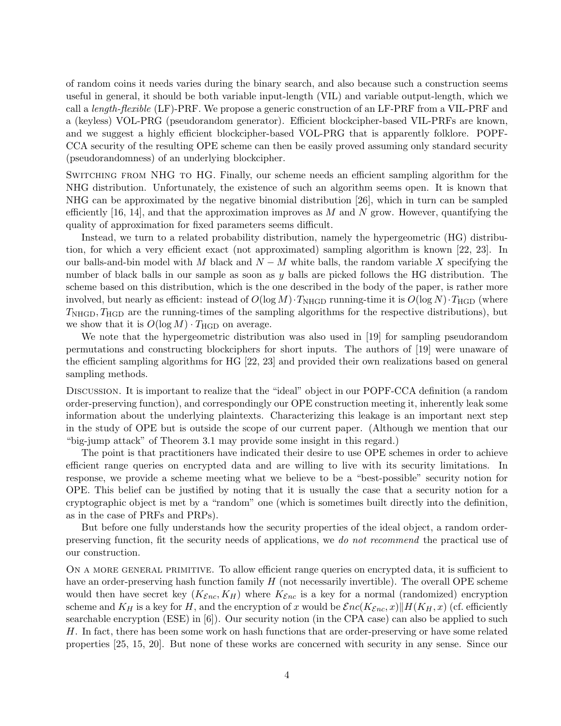of random coins it needs varies during the binary search, and also because such a construction seems useful in general, it should be both variable input-length (VIL) and variable output-length, which we call a *length-flexible* (LF)-PRF. We propose a generic construction of an LF-PRF from a VIL-PRF and a (keyless) VOL-PRG (pseudorandom generator). Efficient blockcipher-based VIL-PRFs are known, and we suggest a highly efficient blockcipher-based VOL-PRG that is apparently folklore. POPF-CCA security of the resulting OPE scheme can then be easily proved assuming only standard security (pseudorandomness) of an underlying blockcipher.

Switching from NHG to HG. Finally, our scheme needs an efficient sampling algorithm for the NHG distribution. Unfortunately, the existence of such an algorithm seems open. It is known that NHG can be approximated by the negative binomial distribution [26], which in turn can be sampled efficiently [16, 14], and that the approximation improves as M and N grow. However, quantifying the quality of approximation for fixed parameters seems difficult.

Instead, we turn to a related probability distribution, namely the hypergeometric (HG) distribution, for which a very efficient exact (not approximated) sampling algorithm is known [22, 23]. In our balls-and-bin model with M black and  $N - M$  white balls, the random variable X specifying the number of black balls in our sample as soon as y balls are picked follows the HG distribution. The scheme based on this distribution, which is the one described in the body of the paper, is rather more involved, but nearly as efficient: instead of  $O(\log M) \cdot T_{\rm NHGD}$  running-time it is  $O(\log N) \cdot T_{\rm HGD}$  (where  $T<sub>NHGD</sub>, T<sub>HGD</sub>$  are the running-times of the sampling algorithms for the respective distributions), but we show that it is  $O(\log M) \cdot T_{\text{HGD}}$  on average.

We note that the hypergeometric distribution was also used in [19] for sampling pseudorandom permutations and constructing blockciphers for short inputs. The authors of [19] were unaware of the efficient sampling algorithms for HG [22, 23] and provided their own realizations based on general sampling methods.

Discussion. It is important to realize that the "ideal" object in our POPF-CCA definition (a random order-preserving function), and correspondingly our OPE construction meeting it, inherently leak some information about the underlying plaintexts. Characterizing this leakage is an important next step in the study of OPE but is outside the scope of our current paper. (Although we mention that our "big-jump attack" of Theorem 3.1 may provide some insight in this regard.)

The point is that practitioners have indicated their desire to use OPE schemes in order to achieve efficient range queries on encrypted data and are willing to live with its security limitations. In response, we provide a scheme meeting what we believe to be a "best-possible" security notion for OPE. This belief can be justified by noting that it is usually the case that a security notion for a cryptographic object is met by a "random" one (which is sometimes built directly into the definition, as in the case of PRFs and PRPs).

But before one fully understands how the security properties of the ideal object, a random orderpreserving function, fit the security needs of applications, we do not recommend the practical use of our construction.

ON A MORE GENERAL PRIMITIVE. To allow efficient range queries on encrypted data, it is sufficient to have an order-preserving hash function family H (not necessarily invertible). The overall OPE scheme would then have secret key  $(K_{\mathcal{E}nc}, K_H)$  where  $K_{\mathcal{E}nc}$  is a key for a normal (randomized) encryption scheme and  $K_H$  is a key for H, and the encryption of x would be  $\mathcal{E}nc(K_{\mathcal{E}nc}, x)\|H(K_H, x)$  (cf. efficiently searchable encryption (ESE) in [6]). Our security notion (in the CPA case) can also be applied to such H. In fact, there has been some work on hash functions that are order-preserving or have some related properties [25, 15, 20]. But none of these works are concerned with security in any sense. Since our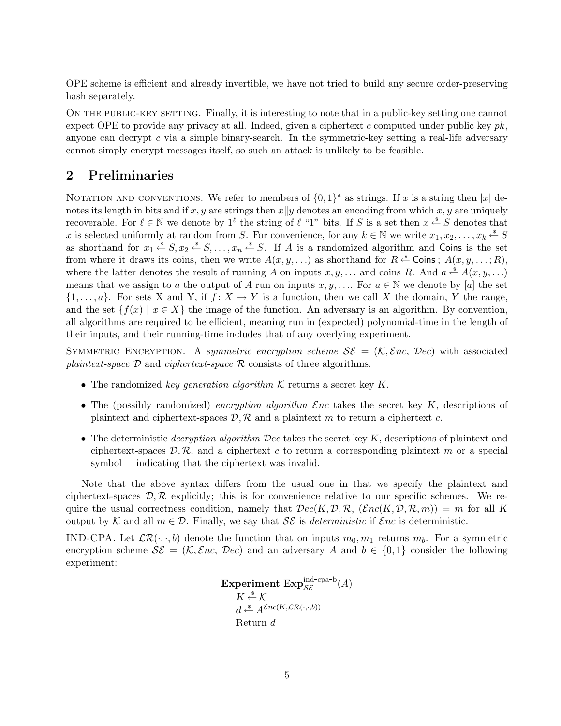OPE scheme is efficient and already invertible, we have not tried to build any secure order-preserving hash separately.

On the public-key setting. Finally, it is interesting to note that in a public-key setting one cannot expect OPE to provide any privacy at all. Indeed, given a ciphertext c computed under public key  $pk$ , anyone can decrypt c via a simple binary-search. In the symmetric-key setting a real-life adversary cannot simply encrypt messages itself, so such an attack is unlikely to be feasible.

# 2 Preliminaries

NOTATION AND CONVENTIONS. We refer to members of  $\{0,1\}^*$  as strings. If x is a string then |x| denotes its length in bits and if x, y are strings then  $x||y$  denotes an encoding from which x, y are uniquely recoverable. For  $\ell \in \mathbb{N}$  we denote by  $1^{\ell}$  the string of  $\ell$  "1" bits. If S is a set then  $x \stackrel{s}{\leftarrow} S$  denotes that x is selected uniformly at random from S. For convenience, for any  $k \in \mathbb{N}$  we write  $x_1, x_2, \ldots, x_k \stackrel{s}{\leftarrow} S$ as shorthand for  $x_1 \stackrel{s}{\leftarrow} S, x_2 \stackrel{s}{\leftarrow} S, \ldots, x_n \stackrel{s}{\leftarrow} S$ . If A is a randomized algorithm and Coins is the set from where it draws its coins, then we write  $A(x, y, \ldots)$  as shorthand for  $R \stackrel{\hspace{0.1em}\mathsf{\scriptscriptstyle\$}}{\leftarrow}$  Coins;  $A(x, y, \ldots; R)$ , where the latter denotes the result of running A on inputs  $x, y, \ldots$  and coins R. And  $a \stackrel{s}{\leftarrow} A(x, y, \ldots)$ means that we assign to a the output of A run on inputs  $x, y, \ldots$ . For  $a \in \mathbb{N}$  we denote by [a] the set  $\{1,\ldots,a\}$ . For sets X and Y, if  $f: X \to Y$  is a function, then we call X the domain, Y the range, and the set  $\{f(x) | x \in X\}$  the image of the function. An adversary is an algorithm. By convention, all algorithms are required to be efficient, meaning run in (expected) polynomial-time in the length of their inputs, and their running-time includes that of any overlying experiment.

SYMMETRIC ENCRYPTION. A symmetric encryption scheme  $\mathcal{SE} = (\mathcal{K}, \mathcal{E}nc, \mathcal{D}ec)$  with associated plaintext-space  $\mathcal D$  and ciphertext-space  $\mathcal R$  consists of three algorithms.

- The randomized key generation algorithm  $K$  returns a secret key  $K$ .
- The (possibly randomized) encryption algorithm  $\mathcal{E}nc$  takes the secret key K, descriptions of plaintext and ciphertext-spaces  $\mathcal{D}, \mathcal{R}$  and a plaintext m to return a ciphertext c.
- The deterministic *decryption algorithm Dec* takes the secret key  $K$ , descriptions of plaintext and ciphertext-spaces  $\mathcal{D}, \mathcal{R}$ , and a ciphertext c to return a corresponding plaintext m or a special symbol  $\perp$  indicating that the ciphertext was invalid.

Note that the above syntax differs from the usual one in that we specify the plaintext and ciphertext-spaces  $\mathcal{D}, \mathcal{R}$  explicitly; this is for convenience relative to our specific schemes. We require the usual correctness condition, namely that  $Dec(K, \mathcal{D}, \mathcal{R}, \mathcal{E}nc(K, \mathcal{D}, \mathcal{R}, m)) = m$  for all K output by K and all  $m \in \mathcal{D}$ . Finally, we say that  $\mathcal{S}\mathcal{E}$  is deterministic if  $\mathcal{E}nc$  is deterministic.

IND-CPA. Let  $\mathcal{LR}(\cdot, \cdot, b)$  denote the function that on inputs  $m_0, m_1$  returns  $m_b$ . For a symmetric encryption scheme  $\mathcal{SE} = (K, \mathcal{E}nc, \mathcal{D}ec)$  and an adversary A and  $b \in \{0, 1\}$  consider the following experiment:

```
Experiment \mathrm{Exp}_{\mathcal{SE}}^{\mathrm{ind-cpa-b}}(A)K \stackrel{\hspace{0.1em}\mathsf{\scriptscriptstyle\$}}{\leftarrow} \mathcal{K}d \stackrel{\$}{\leftarrow} A^{\mathcal{E}nc(K,\mathcal{LR}(\cdot,\cdot,b))}Return d
```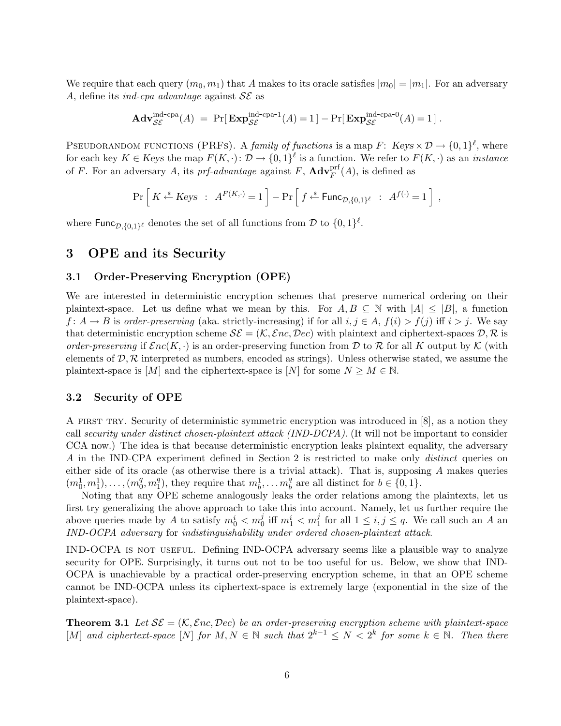We require that each query  $(m_0, m_1)$  that A makes to its oracle satisfies  $|m_0| = |m_1|$ . For an adversary A, define its *ind-cpa advantage* against  $\mathcal{S}\mathcal{E}$  as

$$
\mathbf{Adv}_{\mathcal{SE}}^{\mathrm{ind-cpa}}(A) \;=\; \Pr[\,\mathbf{Exp}_{\mathcal{SE}}^{\mathrm{ind-cpa-1}}(A)=1\,] - \Pr[\,\mathbf{Exp}_{\mathcal{SE}}^{\mathrm{ind-cpa-0}}(A)=1\,]\;.
$$

PSEUDORANDOM FUNCTIONS (PRFS). A family of functions is a map F: Keys  $\times \mathcal{D} \to \{0,1\}^{\ell}$ , where for each key  $K \in K$ eys the map  $F(K, \cdot): \mathcal{D} \to \{0,1\}^{\ell}$  is a function. We refer to  $F(K, \cdot)$  as an *instance* of F. For an adversary A, its prf-advantage against F,  $\mathbf{Adv}_{F}^{\text{prf}}(A)$ , is defined as

$$
\Pr\left[\;K \stackrel{\hspace{0.1em}\mathsf{\scriptscriptstyle\$}}{\leftarrow} \mathrm{Keys} \;:\; A^{F(K,\cdot)} = 1 \;\right] - \Pr\left[\;f \stackrel{\hspace{0.1em}\mathsf{\scriptscriptstyle\$}}{\leftarrow} \mathsf{Func}_{\mathcal{D},\{0,1\}^\ell} \;:\; A^{f(\cdot)} = 1 \;\right] \;,
$$

where  $\mathsf{Func}_{\mathcal{D}, \{0,1\}^\ell}$  denotes the set of all functions from  $\mathcal D$  to  $\{0,1\}^\ell$ .

# 3 OPE and its Security

#### 3.1 Order-Preserving Encryption (OPE)

We are interested in deterministic encryption schemes that preserve numerical ordering on their plaintext-space. Let us define what we mean by this. For  $A, B \subseteq \mathbb{N}$  with  $|A| \leq |B|$ , a function  $f: A \to B$  is order-preserving (aka. strictly-increasing) if for all  $i, j \in A$ ,  $f(i) > f(j)$  iff  $i > j$ . We say that deterministic encryption scheme  $\mathcal{SE} = (\mathcal{K}, \mathcal{E}nc, \mathcal{D}ec)$  with plaintext and ciphertext-spaces  $\mathcal{D}, \mathcal{R}$  is order-preserving if  $Enc(K, \cdot)$  is an order-preserving function from D to R for all K output by K (with elements of  $\mathcal{D}, \mathcal{R}$  interpreted as numbers, encoded as strings). Unless otherwise stated, we assume the plaintext-space is [M] and the ciphertext-space is [N] for some  $N \geq M \in \mathbb{N}$ .

#### 3.2 Security of OPE

A first try. Security of deterministic symmetric encryption was introduced in [8], as a notion they call security under distinct chosen-plaintext attack (IND-DCPA). (It will not be important to consider CCA now.) The idea is that because deterministic encryption leaks plaintext equality, the adversary A in the IND-CPA experiment defined in Section 2 is restricted to make only distinct queries on either side of its oracle (as otherwise there is a trivial attack). That is, supposing  $A$  makes queries  $(m_0^1, m_1^1), \ldots, (m_0^q)$  $_0^q, m_1^q$ <sup>q</sup><sub>1</sub>), they require that  $m_b^1, \ldots, m_b^q$  $\delta^q_b$  are all distinct for  $b \in \{0, 1\}.$ 

Noting that any OPE scheme analogously leaks the order relations among the plaintexts, let us first try generalizing the above approach to take this into account. Namely, let us further require the above queries made by A to satisfy  $m_0^i < m_0^j$  iff  $m_1^i < m_1^j$  for all  $1 \le i, j \le q$ . We call such an A an IND-OCPA adversary for indistinguishability under ordered chosen-plaintext attack.

IND-OCPA is not useful. Defining IND-OCPA adversary seems like a plausible way to analyze security for OPE. Surprisingly, it turns out not to be too useful for us. Below, we show that IND-OCPA is unachievable by a practical order-preserving encryption scheme, in that an OPE scheme cannot be IND-OCPA unless its ciphertext-space is extremely large (exponential in the size of the plaintext-space).

**Theorem 3.1** Let  $S\mathcal{E} = (\mathcal{K}, \mathcal{E}nc, \mathcal{D}ec)$  be an order-preserving encryption scheme with plaintext-space [M] and ciphertext-space [N] for  $M, N \in \mathbb{N}$  such that  $2^{k-1} \leq N < 2^k$  for some  $k \in \mathbb{N}$ . Then there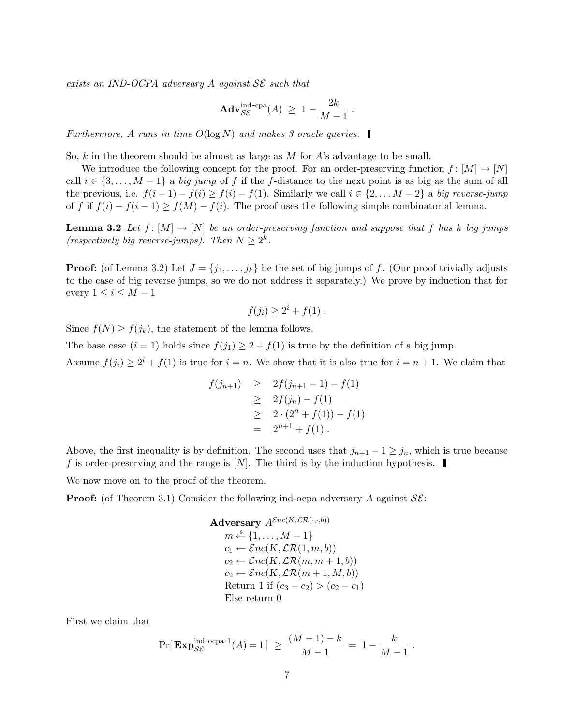exists an IND-OCPA adversary A against  $\mathcal{SE}$  such that

$$
\mathbf{Adv}_{\mathcal{SE}}^{\mathrm{ind-cpa}}(A) \ \geq \ 1 - \frac{2k}{M-1} \ .
$$

Furthermore, A runs in time  $O(\log N)$  and makes 3 oracle queries.

So,  $k$  in the theorem should be almost as large as  $M$  for  $A$ 's advantage to be small.

We introduce the following concept for the proof. For an order-preserving function  $f: [M] \to [N]$ call  $i \in \{3, \ldots, M-1\}$  a big jump of f if the f-distance to the next point is as big as the sum of all the previous, i.e.  $f(i+1) - f(i) \geq f(i) - f(1)$ . Similarly we call  $i \in \{2, \ldots M-2\}$  a big reverse-jump of f if  $f(i) - f(i-1) \ge f(M) - f(i)$ . The proof uses the following simple combinatorial lemma.

**Lemma 3.2** Let  $f : [M] \to [N]$  be an order-preserving function and suppose that f has k big jumps (respectively big reverse-jumps). Then  $N \geq 2^k$ .

**Proof:** (of Lemma 3.2) Let  $J = \{j_1, \ldots, j_k\}$  be the set of big jumps of f. (Our proof trivially adjusts to the case of big reverse jumps, so we do not address it separately.) We prove by induction that for every  $1 \leq i \leq M-1$ 

$$
f(j_i) \geq 2^i + f(1) .
$$

Since  $f(N) \ge f(j_k)$ , the statement of the lemma follows.

The base case  $(i = 1)$  holds since  $f(j_1) \geq 2 + f(1)$  is true by the definition of a big jump. Assume  $f(j_i) \geq 2^i + f(1)$  is true for  $i = n$ . We show that it is also true for  $i = n + 1$ . We claim that

$$
f(j_{n+1}) \geq 2f(j_{n+1} - 1) - f(1)
$$
  
\n
$$
\geq 2f(j_n) - f(1)
$$
  
\n
$$
\geq 2 \cdot (2^n + f(1)) - f(1)
$$
  
\n
$$
= 2^{n+1} + f(1).
$$

Above, the first inequality is by definition. The second uses that  $j_{n+1} - 1 \geq j_n$ , which is true because f is order-preserving and the range is  $[N]$ . The third is by the induction hypothesis.

We now move on to the proof of the theorem.

**Proof:** (of Theorem 3.1) Consider the following ind-ocpa adversary A against  $\mathcal{SE}$ :

**Adversary** 
$$
A^{Enc(K, \mathcal{LR}(\cdot, b))}
$$
  
\n $m \stackrel{\text{s}}{\leftarrow} \{1, ..., M - 1\}$   
\n $c_1 \leftarrow Enc(K, \mathcal{LR}(1, m, b))$   
\n $c_2 \leftarrow Enc(K, \mathcal{LR}(m, m + 1, b))$   
\n $c_2 \leftarrow Enc(K, \mathcal{LR}(m + 1, M, b))$   
\nReturn 1 if  $(c_3 - c_2) > (c_2 - c_1)$   
\nElse return 0

First we claim that

$$
\Pr[\mathbf{Exp}_{\mathcal{SE}}^{\text{ind-ocpa-1}}(A) = 1] \ge \frac{(M-1)-k}{M-1} = 1 - \frac{k}{M-1}.
$$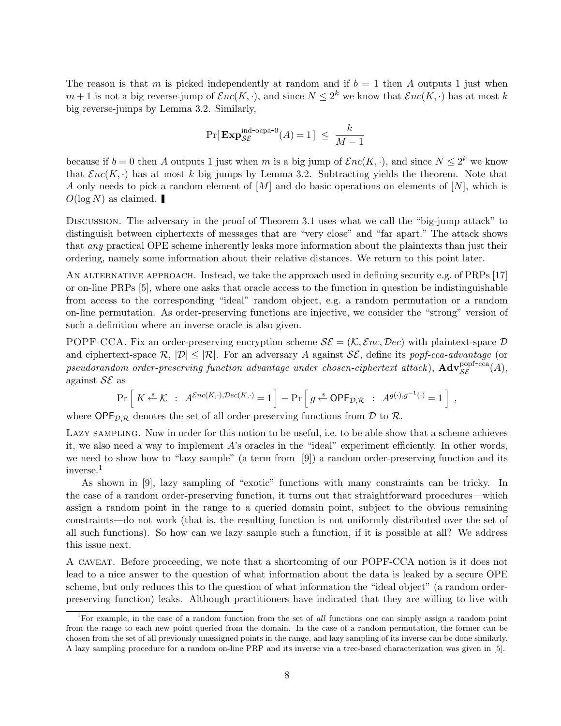The reason is that m is picked independently at random and if  $b = 1$  then A outputs 1 just when  $m+1$  is not a big reverse-jump of  $\mathcal{E}nc(K,\cdot)$ , and since  $N \leq 2^k$  we know that  $\mathcal{E}nc(K,\cdot)$  has at most k big reverse-jumps by Lemma 3.2. Similarly,

$$
\Pr[\, \textbf{Exp}_{\mathcal{SE}}^{\text{ind-ocpa-0}}(A) = 1 \,] \ \leq \ \frac{k}{M-1}
$$

because if  $b = 0$  then A outputs 1 just when m is a big jump of  $\mathcal{E}nc(K, \cdot)$ , and since  $N \leq 2^k$  we know that  $\mathcal{E}nc(K, \cdot)$  has at most k big jumps by Lemma 3.2. Subtracting yields the theorem. Note that A only needs to pick a random element of  $[M]$  and do basic operations on elements of  $[N]$ , which is  $O(\log N)$  as claimed.

Discussion. The adversary in the proof of Theorem 3.1 uses what we call the "big-jump attack" to distinguish between ciphertexts of messages that are "very close" and "far apart." The attack shows that any practical OPE scheme inherently leaks more information about the plaintexts than just their ordering, namely some information about their relative distances. We return to this point later.

AN ALTERNATIVE APPROACH. Instead, we take the approach used in defining security e.g. of PRPs [17] or on-line PRPs [5], where one asks that oracle access to the function in question be indistinguishable from access to the corresponding "ideal" random object, e.g. a random permutation or a random on-line permutation. As order-preserving functions are injective, we consider the "strong" version of such a definition where an inverse oracle is also given.

POPF-CCA. Fix an order-preserving encryption scheme  $\mathcal{SE} = (\mathcal{K}, \mathcal{E}nc, \mathcal{D}ec)$  with plaintext-space  $\mathcal{D}$ and ciphertext-space  $\mathcal{R}, |\mathcal{D}| \leq |\mathcal{R}|$ . For an adversary A against  $\mathcal{SE}$ , define its popf-cca-advantage (or pseudorandom order-preserving function advantage under chosen-ciphertext attack),  $\mathbf{Adv}_{\mathcal{SE}}^{\text{popf-cca}}(A)$ , against  $\mathcal{SE}$  as

$$
\Pr\left[\;K \stackrel{\hspace{0.1em}\mathsf{\scriptscriptstyle\$}}{\leftarrow} \mathcal{K} \;:\; A^{\mathcal{E}nc(K,\cdot),\mathcal{D}ec(K,\cdot)}=1 \;\right] - \Pr\left[\;g \stackrel{\hspace{0.1em}\mathsf{\scriptscriptstyle\$}}{\leftarrow} \mathsf{OPF}_{\mathcal{D},\mathcal{R}} \;:\; A^{g(\cdot),g^{-1}(\cdot)}=1 \;\right] \;,
$$

where  $\mathsf{OPF}_{\mathcal{D},\mathcal{R}}$  denotes the set of all order-preserving functions from  $\mathcal D$  to  $\mathcal R$ .

Lazy sampling. Now in order for this notion to be useful, i.e. to be able show that a scheme achieves it, we also need a way to implement  $A$ 's oracles in the "ideal" experiment efficiently. In other words, we need to show how to "lazy sample" (a term from [9]) a random order-preserving function and its inverse.<sup>1</sup>

As shown in [9], lazy sampling of "exotic" functions with many constraints can be tricky. In the case of a random order-preserving function, it turns out that straightforward procedures—which assign a random point in the range to a queried domain point, subject to the obvious remaining constraints—do not work (that is, the resulting function is not uniformly distributed over the set of all such functions). So how can we lazy sample such a function, if it is possible at all? We address this issue next.

A caveat. Before proceeding, we note that a shortcoming of our POPF-CCA notion is it does not lead to a nice answer to the question of what information about the data is leaked by a secure OPE scheme, but only reduces this to the question of what information the "ideal object" (a random orderpreserving function) leaks. Although practitioners have indicated that they are willing to live with

<sup>&</sup>lt;sup>1</sup>For example, in the case of a random function from the set of all functions one can simply assign a random point from the range to each new point queried from the domain. In the case of a random permutation, the former can be chosen from the set of all previously unassigned points in the range, and lazy sampling of its inverse can be done similarly. A lazy sampling procedure for a random on-line PRP and its inverse via a tree-based characterization was given in [5].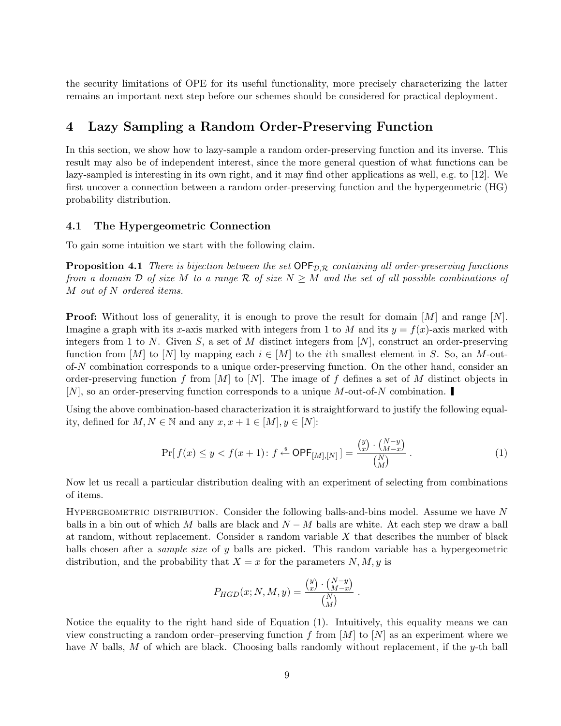the security limitations of OPE for its useful functionality, more precisely characterizing the latter remains an important next step before our schemes should be considered for practical deployment.

# 4 Lazy Sampling a Random Order-Preserving Function

In this section, we show how to lazy-sample a random order-preserving function and its inverse. This result may also be of independent interest, since the more general question of what functions can be lazy-sampled is interesting in its own right, and it may find other applications as well, e.g. to [12]. We first uncover a connection between a random order-preserving function and the hypergeometric (HG) probability distribution.

#### 4.1 The Hypergeometric Connection

To gain some intuition we start with the following claim.

**Proposition 4.1** There is bijection between the set  $\mathsf{OPF}_{\mathcal{D},\mathcal{R}}$  containing all order-preserving functions from a domain D of size M to a range R of size  $N \geq M$  and the set of all possible combinations of M out of N ordered items.

**Proof:** Without loss of generality, it is enough to prove the result for domain  $[M]$  and range  $[N]$ . Imagine a graph with its x-axis marked with integers from 1 to M and its  $y = f(x)$ -axis marked with integers from 1 to N. Given S, a set of M distinct integers from  $[N]$ , construct an order-preserving function from  $[M]$  to  $[N]$  by mapping each  $i \in [M]$  to the *i*th smallest element in S. So, an M-outof-N combination corresponds to a unique order-preserving function. On the other hand, consider an order-preserving function f from  $[M]$  to  $[N]$ . The image of f defines a set of M distinct objects in  $[N]$ , so an order-preserving function corresponds to a unique M-out-of-N combination.

Using the above combination-based characterization it is straightforward to justify the following equality, defined for  $M, N \in \mathbb{N}$  and any  $x, x + 1 \in [M], y \in [N]$ :

$$
\Pr[f(x) \le y < f(x+1) \colon f \stackrel{\ast}{\leftarrow} \mathsf{OPF}_{[M],[N]}] = \frac{\binom{y}{x} \cdot \binom{N-y}{M-x}}{\binom{N}{M}} \,. \tag{1}
$$

Now let us recall a particular distribution dealing with an experiment of selecting from combinations of items.

HYPERGEOMETRIC DISTRIBUTION. Consider the following balls-and-bins model. Assume we have  $N$ balls in a bin out of which M balls are black and  $N - M$  balls are white. At each step we draw a ball at random, without replacement. Consider a random variable  $X$  that describes the number of black balls chosen after a sample size of y balls are picked. This random variable has a hypergeometric distribution, and the probability that  $X = x$  for the parameters  $N, M, y$  is

$$
P_{HGD}(x; N, M, y) = \frac{\binom{y}{x} \cdot \binom{N-y}{M-x}}{\binom{N}{M}}.
$$

Notice the equality to the right hand side of Equation (1). Intuitively, this equality means we can view constructing a random order–preserving function f from  $[M]$  to  $[N]$  as an experiment where we have N balls, M of which are black. Choosing balls randomly without replacement, if the y-th ball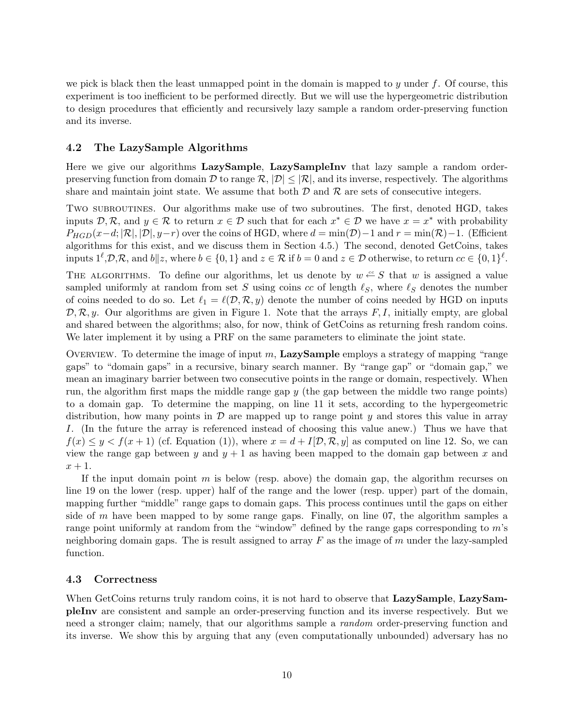we pick is black then the least unmapped point in the domain is mapped to y under f. Of course, this experiment is too inefficient to be performed directly. But we will use the hypergeometric distribution to design procedures that efficiently and recursively lazy sample a random order-preserving function and its inverse.

#### 4.2 The LazySample Algorithms

Here we give our algorithms LazySample, LazySampleInv that lazy sample a random orderpreserving function from domain D to range  $\mathcal{R}, |\mathcal{D}| \leq |\mathcal{R}|$ , and its inverse, respectively. The algorithms share and maintain joint state. We assume that both  $D$  and  $R$  are sets of consecutive integers.

Two subroutines. Our algorithms make use of two subroutines. The first, denoted HGD, takes inputs  $\mathcal{D}, \mathcal{R}$ , and  $y \in \mathcal{R}$  to return  $x \in \mathcal{D}$  such that for each  $x^* \in \mathcal{D}$  we have  $x = x^*$  with probability  $P_{HGD}(x-d; |\mathcal{R}|, |\mathcal{D}|, y-r)$  over the coins of HGD, where  $d = \min(\mathcal{D})-1$  and  $r = \min(\mathcal{R})-1$ . (Efficient algorithms for this exist, and we discuss them in Section 4.5.) The second, denoted GetCoins, takes inputs  $1^{\ell}, \mathcal{D}, \mathcal{R}$ , and  $b||z$ , where  $b \in \{0, 1\}$  and  $z \in \mathcal{R}$  if  $b = 0$  and  $z \in \mathcal{D}$  otherwise, to return  $cc \in \{0, 1\}^{\ell}$ .

THE ALGORITHMS. To define our algorithms, let us denote by  $w \stackrel{c}{\leftarrow} S$  that w is assigned a value sampled uniformly at random from set S using coins cc of length  $\ell_S$ , where  $\ell_S$  denotes the number of coins needed to do so. Let  $\ell_1 = \ell(\mathcal{D}, \mathcal{R}, y)$  denote the number of coins needed by HGD on inputs  $\mathcal{D}, \mathcal{R}, y$ . Our algorithms are given in Figure 1. Note that the arrays F, I, initially empty, are global and shared between the algorithms; also, for now, think of GetCoins as returning fresh random coins. We later implement it by using a PRF on the same parameters to eliminate the joint state.

OVERVIEW. To determine the image of input  $m$ , **LazySample** employs a strategy of mapping "range" gaps" to "domain gaps" in a recursive, binary search manner. By "range gap" or "domain gap," we mean an imaginary barrier between two consecutive points in the range or domain, respectively. When run, the algorithm first maps the middle range gap y (the gap between the middle two range points) to a domain gap. To determine the mapping, on line 11 it sets, according to the hypergeometric distribution, how many points in  $\mathcal D$  are mapped up to range point y and stores this value in array I. (In the future the array is referenced instead of choosing this value anew.) Thus we have that  $f(x) \leq y \leq f(x+1)$  (cf. Equation (1)), where  $x = d + I[\mathcal{D}, \mathcal{R}, y]$  as computed on line 12. So, we can view the range gap between y and  $y + 1$  as having been mapped to the domain gap between x and  $x+1$ .

If the input domain point m is below (resp. above) the domain gap, the algorithm recurses on line 19 on the lower (resp. upper) half of the range and the lower (resp. upper) part of the domain, mapping further "middle" range gaps to domain gaps. This process continues until the gaps on either side of m have been mapped to by some range gaps. Finally, on line 07, the algorithm samples a range point uniformly at random from the "window" defined by the range gaps corresponding to m's neighboring domain gaps. The is result assigned to array  $F$  as the image of  $m$  under the lazy-sampled function.

#### 4.3 Correctness

When GetCoins returns truly random coins, it is not hard to observe that **LazySample**, **LazySam**pleInv are consistent and sample an order-preserving function and its inverse respectively. But we need a stronger claim; namely, that our algorithms sample a *random* order-preserving function and its inverse. We show this by arguing that any (even computationally unbounded) adversary has no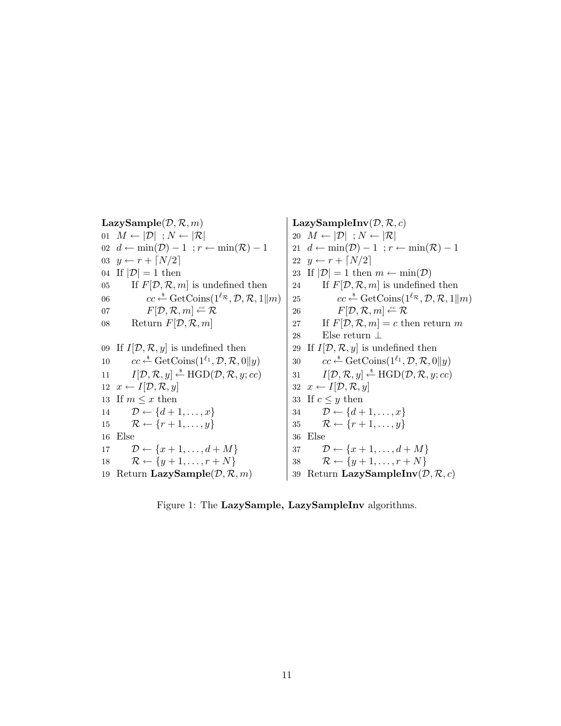LazySample $(D, \mathcal{R}, m)$  $M \leftarrow |\mathcal{D}|$  ;  $N \leftarrow |\mathcal{R}|$  $d \leftarrow \min(\mathcal{D}) - 1$ ;  $r \leftarrow \min(\mathcal{R}) - 1$  $y \leftarrow r + \lceil N/2 \rceil$ 04 If  $|\mathcal{D}| = 1$  then 05 If  $F[\mathcal{D}, \mathcal{R}, m]$  is undefined then  $cc \stackrel{\hspace{0.1em}\mathsf{\scriptscriptstyle\$}}{=} \operatorname{GetCoins}(1^{\ell_{\mathcal{R}}}, \mathcal{D}, \mathcal{R}, 1 \| m)$  $F[\mathcal{D}, \mathcal{R}, m] \stackrel{cc}{\leftarrow} \mathcal{R}$ 08 Return  $F[\mathcal{D}, \mathcal{R}, m]$ 09 If  $I[D, \mathcal{R}, y]$  is undefined then  $cc \stackrel{\hspace{0.1em}\mathsf{\scriptscriptstyle\$}}{=} \operatorname{GetCoins}(1^{\ell_1}, \mathcal{D}, \mathcal{R}, 0 \| y)$  $I[\mathcal{D}, \mathcal{R}, y] \stackrel{\text{*}}{\leftarrow} \text{HGD}(\mathcal{D}, \mathcal{R}, y; cc)$  $x \leftarrow I[\mathcal{D}, \mathcal{R}, y]$ 13 If  $m \leq x$  then  $\mathcal{D} \leftarrow \{d+1,\ldots,x\}$  $\mathcal{R} \leftarrow \{r+1,\ldots,y\}$ 16 Else  $\mathcal{D} \leftarrow \{x+1,\ldots,d+M\}$  $\mathcal{R} \leftarrow \{y+1,\ldots,r+N\}$ 19 Return LazySample $(D, \mathcal{R}, m)$ LazySampleInv $(D, \mathcal{R}, c)$  $M \leftarrow |\mathcal{D}|$  ;  $N \leftarrow |\mathcal{R}|$  $d \leftarrow \min(\mathcal{D}) - 1$ ;  $r \leftarrow \min(\mathcal{R}) - 1$  $y \leftarrow r + \lceil N/2 \rceil$ 23 If  $|\mathcal{D}| = 1$  then  $m \leftarrow \min(\mathcal{D})$ 24 If  $F[D, \mathcal{R}, m]$  is undefined then  $cc \stackrel{\hspace{0.1em}\mathsf{\scriptscriptstyle\$}}{=} \operatorname{GetCoins}(1^{\ell_{\mathcal{R}}}, \mathcal{D}, \mathcal{R}, 1 \| m)$  $F[\mathcal{D}, \mathcal{R}, m] \stackrel{cc}{\leftarrow} \mathcal{R}$ 27 If  $F[\mathcal{D}, \mathcal{R}, m] = c$  then return m Else return ⊥ 29 If  $I[D, \mathcal{R}, y]$  is undefined then  $cc \stackrel{\hspace{0.1em}\mathsf{\scriptscriptstyle\$}}{\leftarrow} \operatorname{GetCoins}(1^{\ell_1}, \mathcal{D}, \mathcal{R}, 0 \| y)$  $I[\mathcal{D}, \mathcal{R}, y] \stackrel{\text{\sf s}}{\leftarrow} \text{HGD}(\mathcal{D}, \mathcal{R}, y; cc)$  $x \leftarrow I[\mathcal{D}, \mathcal{R}, y]$ 33 If  $c \leq y$  then  $\mathcal{D} \leftarrow \{d+1,\ldots,x\}$  $\mathcal{R} \leftarrow \{r+1,\ldots,y\}$ 36 Else  $\mathcal{D} \leftarrow \{x+1,\ldots,d+M\}$  $\mathcal{R} \leftarrow \{y+1,\ldots,r+N\}$ 39 Return LazySampleInv $(D, \mathcal{R}, c)$ 

Figure 1: The LazySample, LazySampleInv algorithms.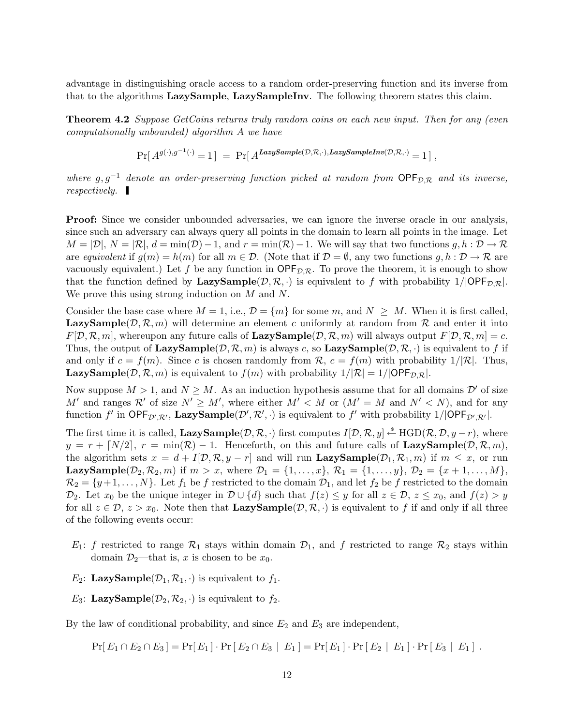advantage in distinguishing oracle access to a random order-preserving function and its inverse from that to the algorithms LazySample, LazySampleInv. The following theorem states this claim.

**Theorem 4.2** Suppose GetCoins returns truly random coins on each new input. Then for any (even computationally unbounded) algorithm A we have

$$
\Pr[A^{g(\cdot),g^{-1}(\cdot)}=1] = \Pr[A^{LazySample(\mathcal{D},\mathcal{R},\cdot),LazySampleInv(\mathcal{D},\mathcal{R},\cdot)}=1],
$$

where g, g<sup>-1</sup> denote an order-preserving function picked at random from  $\mathsf{OPF}_{\mathcal{D},\mathcal{R}}$  and its inverse, respectively.

Proof: Since we consider unbounded adversaries, we can ignore the inverse oracle in our analysis, since such an adversary can always query all points in the domain to learn all points in the image. Let  $M = |\mathcal{D}|$ ,  $N = |\mathcal{R}|$ ,  $d = \min(\mathcal{D}) - 1$ , and  $r = \min(\mathcal{R}) - 1$ . We will say that two functions  $g, h : \mathcal{D} \to \mathcal{R}$ are equivalent if  $g(m) = h(m)$  for all  $m \in \mathcal{D}$ . (Note that if  $\mathcal{D} = \emptyset$ , any two functions  $g, h : \mathcal{D} \to \mathcal{R}$  are vacuously equivalent.) Let f be any function in  $\mathsf{OPF}_{\mathcal{D},\mathcal{R}}$ . To prove the theorem, it is enough to show that the function defined by LazySample( $\mathcal{D}, \mathcal{R}, \cdot$ ) is equivalent to f with probability  $1/|\mathsf{OPT}_{\mathcal{D},\mathcal{R}}|$ . We prove this using strong induction on M and N.

Consider the base case where  $M = 1$ , i.e.,  $\mathcal{D} = \{m\}$  for some m, and  $N \geq M$ . When it is first called, **LazySample**( $\mathcal{D}, \mathcal{R}, m$ ) will determine an element c uniformly at random from  $\mathcal{R}$  and enter it into  $F[D, \mathcal{R}, m]$ , whereupon any future calls of LazySample( $D, \mathcal{R}, m$ ) will always output  $F[D, \mathcal{R}, m] = c$ . Thus, the output of LazySample( $\mathcal{D}, \mathcal{R}, m$ ) is always c, so LazySample( $\mathcal{D}, \mathcal{R}, \cdot$ ) is equivalent to f if and only if  $c = f(m)$ . Since c is chosen randomly from  $\mathcal{R}$ ,  $c = f(m)$  with probability  $1/|\mathcal{R}|$ . Thus, **LazySample**( $\mathcal{D}, \mathcal{R}, m$ ) is equivalent to  $f(m)$  with probability  $1/|\mathcal{R}| = 1/|\text{OPT}_{\mathcal{D},\mathcal{R}}|$ .

Now suppose  $M > 1$ , and  $N \geq M$ . As an induction hypothesis assume that for all domains  $\mathcal{D}'$  of size M' and ranges  $\mathcal{R}'$  of size  $N' \geq M'$ , where either  $M' < M$  or  $(M' = M$  and  $N' < N$ ), and for any function f' in OPF<sub>D',R'</sub>, LazySample(D',R', ·) is equivalent to f' with probability  $1/|\text{OPF}_{\mathcal{D}',\mathcal{R}'}|$ .

The first time it is called, LazySample( $\mathcal{D}, \mathcal{R}, \cdot$ ) first computes  $I[\mathcal{D}, \mathcal{R}, y] \stackrel{\text{s}}{\leftarrow} \text{HGD}(\mathcal{R}, \mathcal{D}, y - r)$ , where  $y = r + [N/2], r = \min(\mathcal{R}) - 1.$  Henceforth, on this and future calls of LazySample( $\mathcal{D}, \mathcal{R}, m$ ), the algorithm sets  $x = d + I[\mathcal{D}, \mathcal{R}, y - r]$  and will run LazySample( $\mathcal{D}_1, \mathcal{R}_1, m$ ) if  $m \leq x$ , or run **LazySample**( $\mathcal{D}_2, \mathcal{R}_2, m$ ) if  $m > x$ , where  $\mathcal{D}_1 = \{1, ..., x\}$ ,  $\mathcal{R}_1 = \{1, ..., y\}$ ,  $\mathcal{D}_2 = \{x + 1, ..., M\}$ ,  $\mathcal{R}_2 = \{y+1,\ldots,N\}$ . Let  $f_1$  be f restricted to the domain  $\mathcal{D}_1$ , and let  $f_2$  be f restricted to the domain  $\mathcal{D}_2$ . Let  $x_0$  be the unique integer in  $\mathcal{D} \cup \{d\}$  such that  $f(z) \leq y$  for all  $z \in \mathcal{D}$ ,  $z \leq x_0$ , and  $f(z) > y$ for all  $z \in \mathcal{D}$ ,  $z > x_0$ . Note then that LazySample( $\mathcal{D}, \mathcal{R}, \cdot$ ) is equivalent to f if and only if all three of the following events occur:

- $E_1$ : f restricted to range  $\mathcal{R}_1$  stays within domain  $\mathcal{D}_1$ , and f restricted to range  $\mathcal{R}_2$  stays within domain  $\mathcal{D}_2$ —that is, x is chosen to be  $x_0$ .
- $E_2$ : **LazySample** $(\mathcal{D}_1, \mathcal{R}_1, \cdot)$  is equivalent to  $f_1$ .
- $E_3$ : **LazySample** $(\mathcal{D}_2, \mathcal{R}_2, \cdot)$  is equivalent to  $f_2$ .

By the law of conditional probability, and since  $E_2$  and  $E_3$  are independent,

$$
Pr[E_1 \cap E_2 \cap E_3] = Pr[E_1] \cdot Pr[E_2 \cap E_3 | E_1] = Pr[E_1] \cdot Pr[E_2 | E_1] \cdot Pr[E_3 | E_1].
$$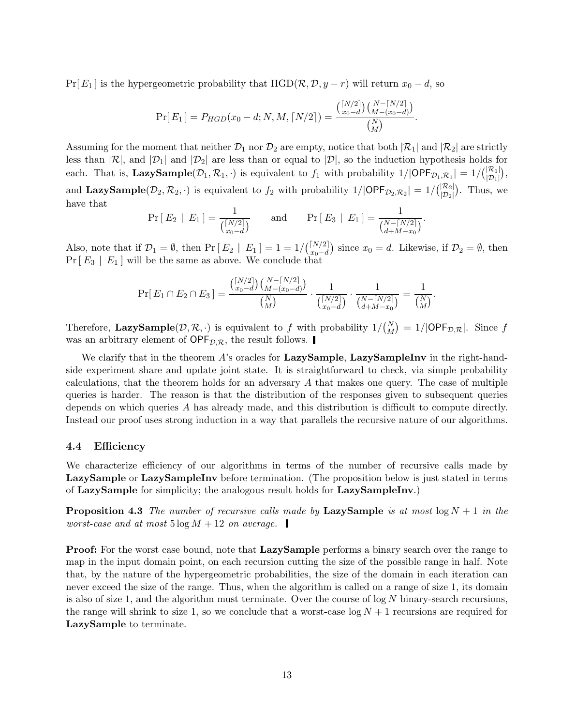$Pr[E_1]$  is the hypergeometric probability that  $HGD(\mathcal{R}, \mathcal{D}, y - r)$  will return  $x_0 - d$ , so

$$
Pr[E_1] = P_{HGD}(x_0 - d; N, M, \lceil N/2 \rceil) = \frac{\binom{\lceil N/2 \rceil}{x_0 - d} \binom{N - \lceil N/2 \rceil}{M - (x_0 - d)}}{\binom{N}{M}}.
$$

Assuming for the moment that neither  $\mathcal{D}_1$  nor  $\mathcal{D}_2$  are empty, notice that both  $|\mathcal{R}_1|$  and  $|\mathcal{R}_2|$  are strictly less than  $|\mathcal{R}|$ , and  $|\mathcal{D}_1|$  and  $|\mathcal{D}_2|$  are less than or equal to  $|\mathcal{D}|$ , so the induction hypothesis holds for each. That is,  $\text{LazySample}(\mathcal{D}_1, \mathcal{R}_1, \cdot)$  is equivalent to  $f_1$  with probability  $1/|\text{OPF}_{\mathcal{D}_1, \mathcal{R}_1}| = 1/ {|\mathcal{R}_1| \choose |\mathcal{D}_1|},$ and LazySample( $\mathcal{D}_2, \mathcal{R}_2, \cdot$ ) is equivalent to  $f_2$  with probability  $1/|\mathsf{OPT}_{\mathcal{D}_2, \mathcal{R}_2}| = 1/ {|\mathcal{R}_2| \choose |\mathcal{D}_2|}$ . Thus, we have that

$$
\Pr [ E_2 | E_1 ] = \frac{1}{\binom{\lceil N/2 \rceil}{x_0 - d}} \quad \text{and} \quad \Pr [ E_3 | E_1 ] = \frac{1}{\binom{\lceil N - \lceil N/2 \rceil}{d + M - x_0}}.
$$

Also, note that if  $\mathcal{D}_1 = \emptyset$ , then  $\Pr[E_2 | E_1] = 1 = 1 / \binom{\lceil N/2 \rceil}{r_0 - d}$  $\binom{N/2}{x_0-d}$  since  $x_0=d$ . Likewise, if  $\mathcal{D}_2=\emptyset$ , then  $Pr [ E_3 | E_1 ]$  will be the same as above. We conclude that

$$
\Pr[E_1 \cap E_2 \cap E_3] = \frac{\binom{[N/2]}{x_0 - d} \binom{N - [N/2]}{M - (x_0 - d)}}{\binom{N}{M}} \cdot \frac{1}{\binom{[N/2]}{x_0 - d}} \cdot \frac{1}{\binom{N - [N/2]}{d + M - x_0}} = \frac{1}{\binom{N}{M}}.
$$

Therefore, LazySample $(D, \mathcal{R}, \cdot)$  is equivalent to f with probability  $1/{N \choose M} = 1/|\mathsf{OPT}_{\mathcal{D},\mathcal{R}}|$ . Since f was an arbitrary element of  $\mathsf{OPF}_{\mathcal{D},\mathcal{R}}$ , the result follows.

We clarify that in the theorem  $A$ 's oracles for **LazySample, LazySampleInv** in the right-handside experiment share and update joint state. It is straightforward to check, via simple probability calculations, that the theorem holds for an adversary  $A$  that makes one query. The case of multiple queries is harder. The reason is that the distribution of the responses given to subsequent queries depends on which queries A has already made, and this distribution is difficult to compute directly. Instead our proof uses strong induction in a way that parallels the recursive nature of our algorithms.

#### 4.4 Efficiency

We characterize efficiency of our algorithms in terms of the number of recursive calls made by LazySample or LazySampleInv before termination. (The proposition below is just stated in terms of LazySample for simplicity; the analogous result holds for LazySampleInv.)

**Proposition 4.3** The number of recursive calls made by LazySample is at most  $\log N + 1$  in the worst-case and at most  $5 \log M + 12$  on average.

**Proof:** For the worst case bound, note that **LazySample** performs a binary search over the range to map in the input domain point, on each recursion cutting the size of the possible range in half. Note that, by the nature of the hypergeometric probabilities, the size of the domain in each iteration can never exceed the size of the range. Thus, when the algorithm is called on a range of size 1, its domain is also of size 1, and the algorithm must terminate. Over the course of  $\log N$  binary-search recursions, the range will shrink to size 1, so we conclude that a worst-case  $\log N + 1$  recursions are required for LazySample to terminate.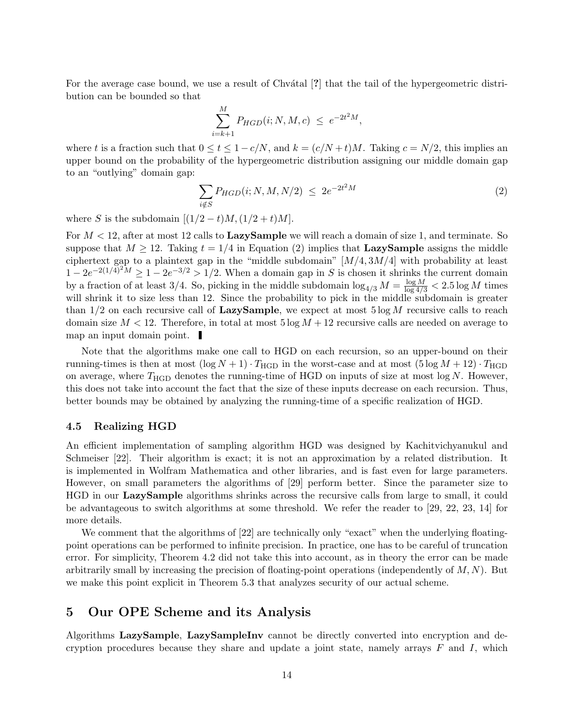For the average case bound, we use a result of Chvatal [?] that the tail of the hypergeometric distribution can be bounded so that

$$
\sum_{i=k+1}^{M} P_{HGD}(i; N, M, c) \ \leq \ e^{-2t^2 M},
$$

where t is a fraction such that  $0 \le t \le 1 - c/N$ , and  $k = (c/N + t)M$ . Taking  $c = N/2$ , this implies an upper bound on the probability of the hypergeometric distribution assigning our middle domain gap to an "outlying" domain gap:

$$
\sum_{i \notin S} P_{HGD}(i; N, M, N/2) \le 2e^{-2t^2 M} \tag{2}
$$

where S is the subdomain  $[(1/2-t)M,(1/2+t)M]$ .

For  $M < 12$ , after at most 12 calls to LazySample we will reach a domain of size 1, and terminate. So suppose that  $M \geq 12$ . Taking  $t = 1/4$  in Equation (2) implies that **LazySample** assigns the middle ciphertext gap to a plaintext gap in the "middle subdomain"  $[M/4, 3M/4]$  with probability at least  $1-2e^{-2(1/4)^2M} \geq 1-2e^{-3/2} > 1/2$ . When a domain gap in S is chosen it shrinks the current domain by a fraction of at least 3/4. So, picking in the middle subdomain  $\log_{4/3} M = \frac{\log M}{\log 4/3} < 2.5 \log M$  times will shrink it to size less than 12. Since the probability to pick in the middle subdomain is greater than  $1/2$  on each recursive call of LazySample, we expect at most  $5 \log M$  recursive calls to reach domain size  $M < 12$ . Therefore, in total at most  $5 \log M + 12$  recursive calls are needed on average to map an input domain point.

Note that the algorithms make one call to HGD on each recursion, so an upper-bound on their running-times is then at most  $(\log N + 1) \cdot T_{\text{HGD}}$  in the worst-case and at most  $(5 \log M + 12) \cdot T_{\text{HGD}}$ on average, where  $T_{\text{HGD}}$  denotes the running-time of HGD on inputs of size at most log N. However, this does not take into account the fact that the size of these inputs decrease on each recursion. Thus, better bounds may be obtained by analyzing the running-time of a specific realization of HGD.

#### 4.5 Realizing HGD

An efficient implementation of sampling algorithm HGD was designed by Kachitvichyanukul and Schmeiser [22]. Their algorithm is exact; it is not an approximation by a related distribution. It is implemented in Wolfram Mathematica and other libraries, and is fast even for large parameters. However, on small parameters the algorithms of [29] perform better. Since the parameter size to HGD in our LazySample algorithms shrinks across the recursive calls from large to small, it could be advantageous to switch algorithms at some threshold. We refer the reader to [29, 22, 23, 14] for more details.

We comment that the algorithms of [22] are technically only "exact" when the underlying floatingpoint operations can be performed to infinite precision. In practice, one has to be careful of truncation error. For simplicity, Theorem 4.2 did not take this into account, as in theory the error can be made arbitrarily small by increasing the precision of floating-point operations (independently of  $M, N$ ). But we make this point explicit in Theorem 5.3 that analyzes security of our actual scheme.

## 5 Our OPE Scheme and its Analysis

Algorithms LazySample, LazySampleInv cannot be directly converted into encryption and decryption procedures because they share and update a joint state, namely arrays  $F$  and  $I$ , which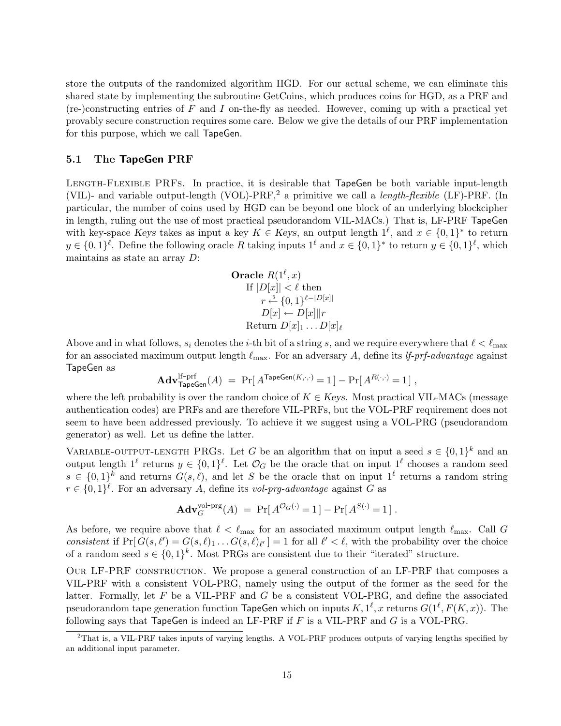store the outputs of the randomized algorithm HGD. For our actual scheme, we can eliminate this shared state by implementing the subroutine GetCoins, which produces coins for HGD, as a PRF and (re-)constructing entries of  $F$  and  $I$  on-the-fly as needed. However, coming up with a practical yet provably secure construction requires some care. Below we give the details of our PRF implementation for this purpose, which we call TapeGen.

#### 5.1 The TapeGen PRF

LENGTH-FLEXIBLE PRFS. In practice, it is desirable that TapeGen be both variable input-length (VIL)- and variable output-length (VOL)-PRF,<sup>2</sup> a primitive we call a *length-flexible* (LF)-PRF. (In particular, the number of coins used by HGD can be beyond one block of an underlying blockcipher in length, ruling out the use of most practical pseudorandom VIL-MACs.) That is, LF-PRF TapeGen with key-space Keys takes as input a key  $K \in Keys$ , an output length  $1^{\ell}$ , and  $x \in \{0,1\}^*$  to return  $y \in \{0,1\}^{\ell}$ . Define the following oracle R taking inputs  $1^{\ell}$  and  $x \in \{0,1\}^*$  to return  $y \in \{0,1\}^{\ell}$ , which maintains as state an array D:

**Oracle** 
$$
R(1^{\ell}, x)
$$
  
\nIf  $|D[x]| < \ell$  then  
\n $r \stackrel{s}{\leftarrow} \{0, 1\}^{\ell - |D[x]|}$   
\n $D[x] \leftarrow D[x] \| r$   
\nReturn  $D[x]_1 \dots D[x]_\ell$ 

Above and in what follows,  $s_i$  denotes the *i*-th bit of a string s, and we require everywhere that  $\ell < \ell_{\max}$ for an associated maximum output length  $\ell_{\text{max}}$ . For an adversary A, define its *lf-prf-advantage* against TapeGen as

$$
\label{eq:adv} \mathbf{Adv}_{\mathsf{TapeGen}}^{\mathsf{lf}\text{-}\mathsf{prf}}(A) \ = \ \Pr[\,A^{\mathsf{TapeGen}(K,\cdot,\cdot)}=1\,] - \Pr[\,A^{R(\cdot,\cdot)}=1\,] \ ,
$$

where the left probability is over the random choice of  $K \in K$ eys. Most practical VIL-MACs (message authentication codes) are PRFs and are therefore VIL-PRFs, but the VOL-PRF requirement does not seem to have been addressed previously. To achieve it we suggest using a VOL-PRG (pseudorandom generator) as well. Let us define the latter.

VARIABLE-OUTPUT-LENGTH PRGS. Let G be an algorithm that on input a seed  $s \in \{0,1\}^k$  and an output length  $1^{\ell}$  returns  $y \in \{0,1\}^{\ell}$ . Let  $\mathcal{O}_G$  be the oracle that on input  $1^{\ell}$  chooses a random seed  $s \in \{0,1\}^k$  and returns  $G(s,\ell)$ , and let S be the oracle that on input  $1^{\ell}$  returns a random string  $r \in \{0,1\}^{\ell}$ . For an adversary A, define its vol-prg-advantage against G as

$$
Adv_G^{\text{vol-prg}}(A) = Pr[A^{\mathcal{O}_G(\cdot)} = 1] - Pr[A^{S(\cdot)} = 1].
$$

As before, we require above that  $\ell < \ell_{\text{max}}$  for an associated maximum output length  $\ell_{\text{max}}$ . Call G consistent if  $Pr[G(s, \ell') = G(s, \ell)_1 ... G(s, \ell)_{\ell'}] = 1$  for all  $\ell' < \ell$ , with the probability over the choice of a random seed  $s \in \{0,1\}^k$ . Most PRGs are consistent due to their "iterated" structure.

Our LF-PRF construction. We propose a general construction of an LF-PRF that composes a VIL-PRF with a consistent VOL-PRG, namely using the output of the former as the seed for the latter. Formally, let  $F$  be a VIL-PRF and  $G$  be a consistent VOL-PRG, and define the associated pseudorandom tape generation function TapeGen which on inputs  $K, 1^{\ell}, x$  returns  $G(1^{\ell}, F(K, x))$ . The following says that TapeGen is indeed an LF-PRF if  $F$  is a VIL-PRF and  $G$  is a VOL-PRG.

<sup>&</sup>lt;sup>2</sup>That is, a VIL-PRF takes inputs of varying lengths. A VOL-PRF produces outputs of varying lengths specified by an additional input parameter.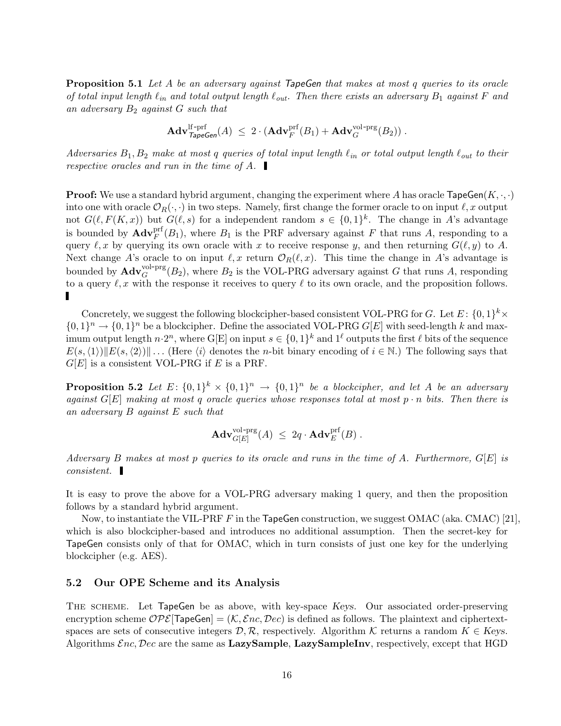**Proposition 5.1** Let A be an adversary against TapeGen that makes at most q queries to its oracle of total input length  $\ell_{in}$  and total output length  $\ell_{out}$ . Then there exists an adversary  $B_1$  against F and an adversary  $B_2$  against G such that

$$
\mathbf{Adv}_{\mathsf{TapeGen}}^{\mathrm{lf-prf}}(A) \ \leq \ 2 \cdot (\mathbf{Adv}_{F}^{\mathrm{prf}}(B_1) + \mathbf{Adv}_{G}^{\mathrm{vol-prg}}(B_2)) \ .
$$

Adversaries  $B_1, B_2$  make at most q queries of total input length  $\ell_{in}$  or total output length  $\ell_{out}$  to their respective oracles and run in the time of  $A$ .

**Proof:** We use a standard hybrid argument, changing the experiment where A has oracle TapeGen $(K, \cdot, \cdot)$ into one with oracle  $\mathcal{O}_R(\cdot, \cdot)$  in two steps. Namely, first change the former oracle to on input  $\ell, x$  output not  $G(\ell, F(K, x))$  but  $G(\ell, s)$  for a independent random  $s \in \{0,1\}^k$ . The change in A's advantage is bounded by  $\mathbf{Adv}_{F}^{\text{prf}}(B_1)$ , where  $B_1$  is the PRF adversary against F that runs A, responding to a query  $\ell, x$  by querying its own oracle with x to receive response y, and then returning  $G(\ell, y)$  to A. Next change A's oracle to on input  $\ell, x$  return  $\mathcal{O}_R(\ell, x)$ . This time the change in A's advantage is bounded by  $\mathbf{Adv}_{G}^{\text{vol-prg}}(B_2)$ , where  $B_2$  is the VOL-PRG adversary against G that runs A, responding to a query  $\ell, x$  with the response it receives to query  $\ell$  to its own oracle, and the proposition follows. П

Concretely, we suggest the following blockcipher-based consistent VOL-PRG for G. Let  $E: \{0,1\}^k \times$  $\{0,1\}^n \to \{0,1\}^n$  be a blockcipher. Define the associated VOL-PRG  $G[E]$  with seed-length k and maximum output length  $n \cdot 2^n$ , where G[E] on input  $s \in \{0,1\}^k$  and  $1^\ell$  outputs the first  $\ell$  bits of the sequence  $E(s,\langle 1\rangle)\|E(s,\langle 2\rangle)\|\dots$  (Here  $\langle i\rangle$  denotes the *n*-bit binary encoding of  $i \in \mathbb{N}$ .) The following says that  $G[E]$  is a consistent VOL-PRG if E is a PRF.

**Proposition 5.2** Let  $E: \{0,1\}^k \times \{0,1\}^n \rightarrow \{0,1\}^n$  be a blockcipher, and let A be an adversary against  $G[E]$  making at most q oracle queries whose responses total at most  $p \cdot n$  bits. Then there is an adversary B against E such that

$$
\mathbf{Adv}_{G[E]}^{\text{vol-prg}}(A) \ \leq \ 2q \cdot \mathbf{Adv}_{E}^{\text{prf}}(B) \ .
$$

Adversary B makes at most p queries to its oracle and runs in the time of A. Furthermore,  $G[E]$  is consistent.

It is easy to prove the above for a VOL-PRG adversary making 1 query, and then the proposition follows by a standard hybrid argument.

Now, to instantiate the VIL-PRF  $F$  in the TapeGen construction, we suggest OMAC (aka. CMAC) [21], which is also blockcipher-based and introduces no additional assumption. Then the secret-key for TapeGen consists only of that for OMAC, which in turn consists of just one key for the underlying blockcipher (e.g. AES).

#### 5.2 Our OPE Scheme and its Analysis

The scheme. Let TapeGen be as above, with key-space Keys. Our associated order-preserving encryption scheme  $\mathcal{OPE}$ [TapeGen] = (K,  $\mathcal{E}nc, \mathcal{D}ec$ ) is defined as follows. The plaintext and ciphertextspaces are sets of consecutive integers  $\mathcal{D}, \mathcal{R}$ , respectively. Algorithm K returns a random  $K \in K$ eys. Algorithms  $Enc$ ,  $Dec$  are the same as LazySample, LazySampleInv, respectively, except that HGD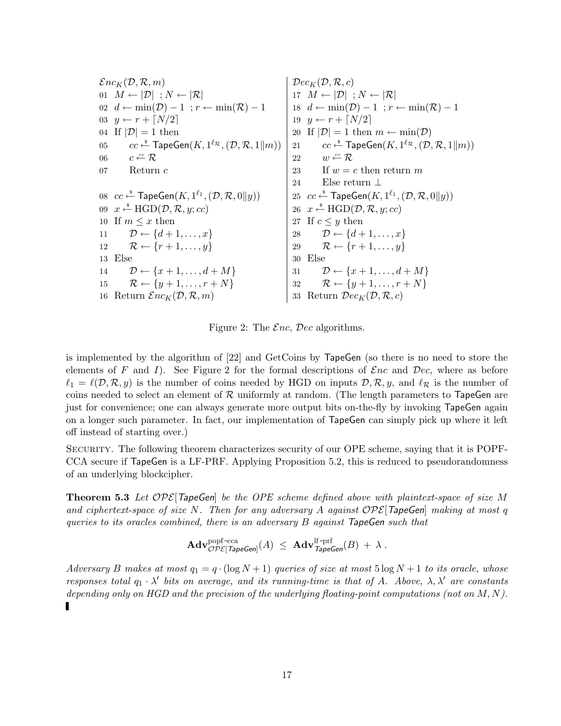| $Dec_K(D, R, c)$                                                                                                                                        |
|---------------------------------------------------------------------------------------------------------------------------------------------------------|
| 17 $M \leftarrow  \mathcal{D} $ ; $N \leftarrow  \mathcal{R} $                                                                                          |
| 18 $d \leftarrow \min(\mathcal{D}) - 1$ ; $r \leftarrow \min(\mathcal{R}) - 1$                                                                          |
| 19 $y \leftarrow r + \lceil N/2 \rceil$                                                                                                                 |
| 20 If $ \mathcal{D}  = 1$ then $m \leftarrow \min(\mathcal{D})$                                                                                         |
| $cc \stackrel{\hspace{0.1em}\mathsf{\scriptscriptstyle\$}}{\leftarrow}$ TapeGen $(K, 1^{\ell_{\mathcal{R}}}, (\mathcal{D}, \mathcal{R}, 1 \  m))$<br>21 |
| 22 $w \stackrel{cc}{\leftarrow} \mathcal{R}$                                                                                                            |
| 23 If $w = c$ then return m                                                                                                                             |
| Else return $\perp$<br>24                                                                                                                               |
| 25 $cc \stackrel{\hspace{0.1em}\mathsf{\scriptscriptstyle\$}}{\leftarrow}$ TapeGen $(K, 1^{\ell_1}, (\mathcal{D}, \mathcal{R}, 0 \  y))$                |
| 26 $x \stackrel{\$}{\leftarrow} \text{HGD}(\mathcal{D}, \mathcal{R}, y; cc)$                                                                            |
| 27 If $c \leq y$ then                                                                                                                                   |
| 28 $\mathcal{D} \leftarrow \{d+1,\ldots,x\}$                                                                                                            |
| 29 $\mathcal{R} \leftarrow \{r+1,\ldots,y\}$                                                                                                            |
| 30 Else                                                                                                                                                 |
| 31 $\mathcal{D} \leftarrow \{x+1,\ldots,d+M\}$                                                                                                          |
| 32 $\mathcal{R} \leftarrow \{y+1,\ldots,r+N\}$                                                                                                          |
| 33 Return $Dec_K(D, \mathcal{R}, c)$                                                                                                                    |
|                                                                                                                                                         |

Figure 2: The  $\mathcal{E}nc$ ,  $\mathcal{D}ec$  algorithms.

is implemented by the algorithm of [22] and GetCoins by TapeGen (so there is no need to store the elements of F and I). See Figure 2 for the formal descriptions of  $\mathcal{E}nc$  and  $\mathcal{D}ec$ , where as before  $\ell_1 = \ell(\mathcal{D}, \mathcal{R}, y)$  is the number of coins needed by HGD on inputs  $\mathcal{D}, \mathcal{R}, y$ , and  $\ell_{\mathcal{R}}$  is the number of coins needed to select an element of  $R$  uniformly at random. (The length parameters to TapeGen are just for convenience; one can always generate more output bits on-the-fly by invoking TapeGen again on a longer such parameter. In fact, our implementation of TapeGen can simply pick up where it left off instead of starting over.)

Security. The following theorem characterizes security of our OPE scheme, saying that it is POPF-CCA secure if TapeGen is a LF-PRF. Applying Proposition 5.2, this is reduced to pseudorandomness of an underlying blockcipher.

**Theorem 5.3** Let  $OPE$ [TapeGen] be the OPE scheme defined above with plaintext-space of size M and ciphertext-space of size N. Then for any adversary A against  $\mathcal{OPE}[T_{\mathsf{apeGen}}]$  making at most q queries to its oracles combined, there is an adversary B against TapeGen such that

$$
\mathbf{Adv}_{\mathcal{OPE}[TapeGen]}^{\mathrm{popf-cca}}(A) \ \leq \ \mathbf{Adv}_{TapeGen}^{\mathrm{lf-prf}}(B) \ + \ \lambda \ .
$$

Adversary B makes at most  $q_1 = q \cdot (\log N + 1)$  queries of size at most  $5 \log N + 1$  to its oracle, whose responses total  $q_1 \cdot \lambda'$  bits on average, and its running-time is that of A. Above,  $\lambda, \lambda'$  are constants depending only on HGD and the precision of the underlying floating-point computations (not on  $M, N$ ).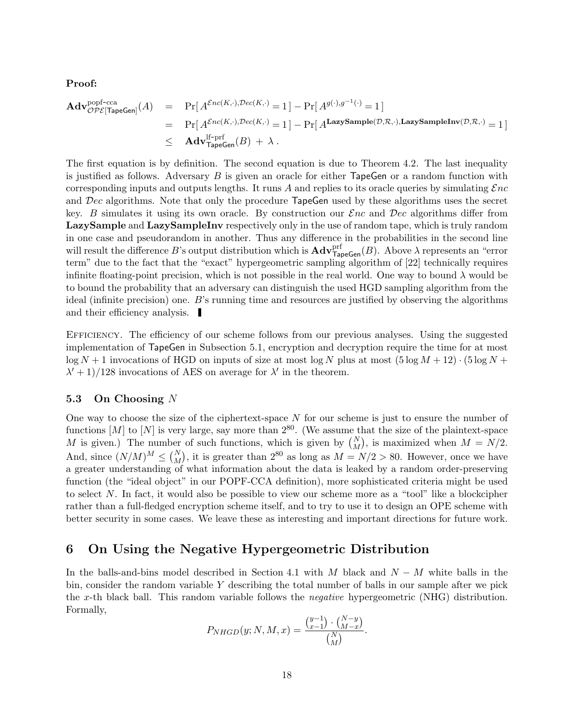Proof:

$$
\begin{array}{lcl} \mathbf{Adv}_{\mathcal{OPE}[\mathsf{TapeGen}]}^{\text{popf-cca}}(A) & = & \Pr[\,A^{\mathcal{E}nc(K,\cdot),\mathcal{D}ec(K,\cdot)}=1\,]-\Pr[\,A^{g(\cdot),g^{-1}(\cdot)}=1\,] \\ \\ & = & \Pr[\,A^{\mathcal{E}nc(K,\cdot),\mathcal{D}ec(K,\cdot)}=1\,]-\Pr[\,A^{\text{LazySample(D,R,\cdot)},\text{LazySampleInv(D,R,\cdot)}=1\,] \\ \\ & \leq & \mathbf{Adv}_{\text{TapeGen}}^{\text{lf-prf}}(B)\,+\,\lambda\;.\end{array}
$$

The first equation is by definition. The second equation is due to Theorem 4.2. The last inequality is justified as follows. Adversary  $B$  is given an oracle for either TapeGen or a random function with corresponding inputs and outputs lengths. It runs A and replies to its oracle queries by simulating  $Enc$ and Dec algorithms. Note that only the procedure TapeGen used by these algorithms uses the secret key. B simulates it using its own oracle. By construction our  $\mathcal{E}nc$  and  $\mathcal{D}ec$  algorithms differ from LazySample and LazySampleInv respectively only in the use of random tape, which is truly random in one case and pseudorandom in another. Thus any difference in the probabilities in the second line will result the difference B's output distribution which is  $\text{Adv}_{\text{TapeGen}}^{\text{prf}}(B)$ . Above  $\lambda$  represents an "error term" due to the fact that the "exact" hypergeometric sampling algorithm of [22] technically requires infinite floating-point precision, which is not possible in the real world. One way to bound  $\lambda$  would be to bound the probability that an adversary can distinguish the used HGD sampling algorithm from the ideal (infinite precision) one. B's running time and resources are justified by observing the algorithms and their efficiency analysis.

Efficiency. The efficiency of our scheme follows from our previous analyses. Using the suggested implementation of TapeGen in Subsection 5.1, encryption and decryption require the time for at most  $\log N + 1$  invocations of HGD on inputs of size at most  $\log N$  plus at most  $(5 \log M + 12) \cdot (5 \log N + 12)$  $\lambda' + 1)/128$  invocations of AES on average for  $\lambda'$  in the theorem.

#### 5.3 On Choosing N

One way to choose the size of the ciphertext-space  $N$  for our scheme is just to ensure the number of functions  $[M]$  to  $[N]$  is very large, say more than  $2^{80}$ . (We assume that the size of the plaintext-space M is given.) The number of such functions, which is given by  $\binom{N}{M}$ , is maximized when  $M = N/2$ . And, since  $(N/M)^M \leq {N \choose M}$ , it is greater than  $2^{80}$  as long as  $M = N/2 > 80$ . However, once we have a greater understanding of what information about the data is leaked by a random order-preserving function (the "ideal object" in our POPF-CCA definition), more sophisticated criteria might be used to select N. In fact, it would also be possible to view our scheme more as a "tool" like a blockcipher rather than a full-fledged encryption scheme itself, and to try to use it to design an OPE scheme with better security in some cases. We leave these as interesting and important directions for future work.

## 6 On Using the Negative Hypergeometric Distribution

In the balls-and-bins model described in Section 4.1 with M black and  $N - M$  white balls in the bin, consider the random variable  $Y$  describing the total number of balls in our sample after we pick the x-th black ball. This random variable follows the *negative* hypergeometric (NHG) distribution. Formally,

$$
P_{NHGD}(y; N, M, x) = \frac{\binom{y-1}{x-1} \cdot \binom{N-y}{M-x}}{\binom{N}{M}}.
$$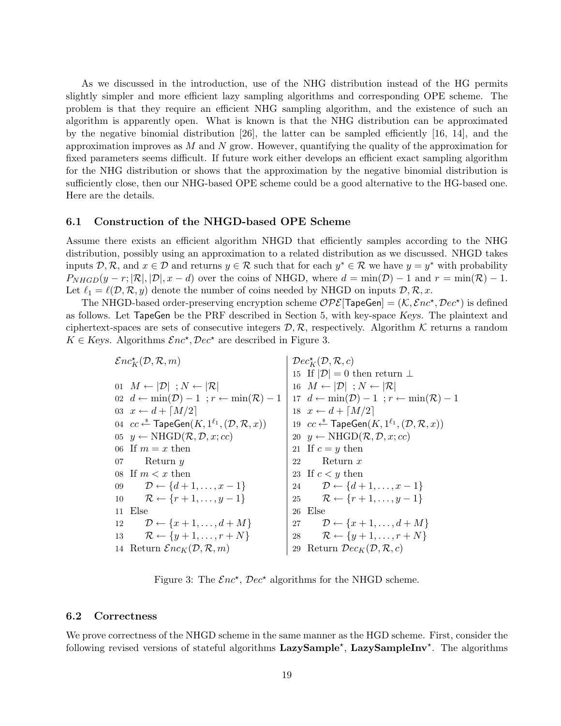As we discussed in the introduction, use of the NHG distribution instead of the HG permits slightly simpler and more efficient lazy sampling algorithms and corresponding OPE scheme. The problem is that they require an efficient NHG sampling algorithm, and the existence of such an algorithm is apparently open. What is known is that the NHG distribution can be approximated by the negative binomial distribution [26], the latter can be sampled efficiently [16, 14], and the approximation improves as  $M$  and  $N$  grow. However, quantifying the quality of the approximation for fixed parameters seems difficult. If future work either develops an efficient exact sampling algorithm for the NHG distribution or shows that the approximation by the negative binomial distribution is sufficiently close, then our NHG-based OPE scheme could be a good alternative to the HG-based one. Here are the details.

#### 6.1 Construction of the NHGD-based OPE Scheme

Assume there exists an efficient algorithm NHGD that efficiently samples according to the NHG distribution, possibly using an approximation to a related distribution as we discussed. NHGD takes inputs D, R, and  $x \in \mathcal{D}$  and returns  $y \in \mathcal{R}$  such that for each  $y^* \in \mathcal{R}$  we have  $y = y^*$  with probability  $P_{NHGD}(y - r; |\mathcal{R}|, |\mathcal{D}|, x - d)$  over the coins of NHGD, where  $d = \min(\mathcal{D}) - 1$  and  $r = \min(\mathcal{R}) - 1$ . Let  $\ell_1 = \ell(\mathcal{D}, \mathcal{R}, y)$  denote the number of coins needed by NHGD on inputs  $\mathcal{D}, \mathcal{R}, x$ .

The NHGD-based order-preserving encryption scheme  $\mathcal{OPE}$ [TapeGen] =  $(\mathcal{K}, \mathcal{E}nc^*, \mathcal{D}ec^*)$  is defined as follows. Let TapeGen be the PRF described in Section 5, with key-space Keys. The plaintext and ciphertext-spaces are sets of consecutive integers  $\mathcal{D}, \mathcal{R}$ , respectively. Algorithm K returns a random  $K \in \text{Keys. Algorithms } \mathcal{E}nc^{\star}, \mathcal{D}ec^{\star}$  are described in Figure 3.

| $Dec_{K}^{\star}(\mathcal{D}, \mathcal{R}, c)$                                                                                      |
|-------------------------------------------------------------------------------------------------------------------------------------|
| 15 If $ \mathcal{D}  = 0$ then return $\perp$                                                                                       |
| 16 $M \leftarrow  \mathcal{D} $ ; $N \leftarrow  \mathcal{R} $                                                                      |
| 17 $d \leftarrow \min(\mathcal{D}) - 1$ ; $r \leftarrow \min(\mathcal{R}) - 1$                                                      |
| 18 $x \leftarrow d + \lceil M/2 \rceil$                                                                                             |
| 19 $cc \stackrel{\hspace{0.1em}\mathsf{\scriptscriptstyle\$}}{\leftarrow}$ TapeGen $(K, 1^{\ell_1}, (\mathcal{D}, \mathcal{R}, x))$ |
| 20 $y \leftarrow \text{NHGD}(\mathcal{R}, \mathcal{D}, x; cc)$                                                                      |
| 21 If $c = y$ then                                                                                                                  |
| Return $x$<br>22                                                                                                                    |
| 23 If $c < y$ then                                                                                                                  |
| 24 $\mathcal{D} \leftarrow \{d+1,\ldots,x-1\}$                                                                                      |
| 25 $\mathcal{R} \leftarrow \{r+1,\ldots,y-1\}$                                                                                      |
| 26 Else                                                                                                                             |
| 27 $\mathcal{D} \leftarrow \{x+1,\ldots,d+M\}$                                                                                      |
| $\mathcal{R} \leftarrow \{y+1,\ldots,r+N\}$<br>28                                                                                   |
| 29 Return $Dec_K(D, \mathcal{R}, c)$                                                                                                |
|                                                                                                                                     |

Figure 3: The  $\mathcal{E}nc^*$ ,  $\mathcal{D}ec^*$  algorithms for the NHGD scheme.

#### 6.2 Correctness

We prove correctness of the NHGD scheme in the same manner as the HGD scheme. First, consider the following revised versions of stateful algorithms LazySample<sup>\*</sup>, LazySampleInv<sup>\*</sup>. The algorithms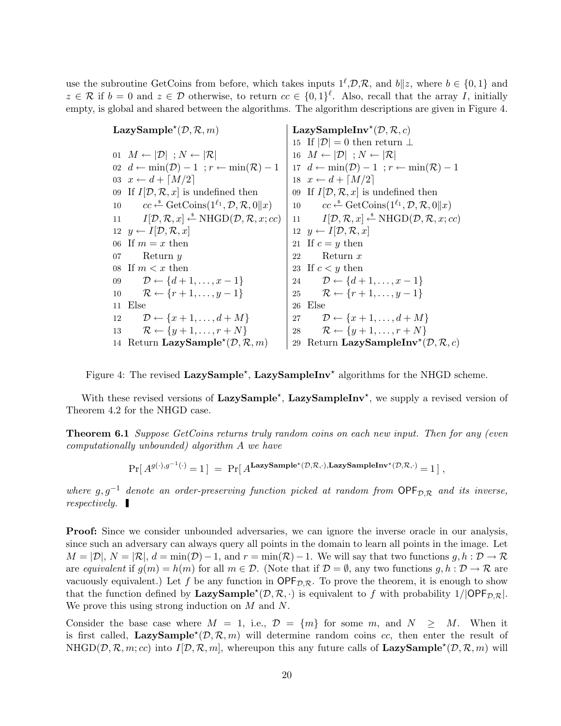use the subroutine GetCoins from before, which takes inputs  $1^{\ell}, \mathcal{D}, \mathcal{R}$ , and  $b||z$ , where  $b \in \{0, 1\}$  and  $z \in \mathcal{R}$  if  $b = 0$  and  $z \in \mathcal{D}$  otherwise, to return  $cc \in \{0,1\}^{\ell}$ . Also, recall that the array I, initially empty, is global and shared between the algorithms. The algorithm descriptions are given in Figure 4.

| LazySample <sup>*</sup> $(D, \mathcal{R}, m)$                                                                                                       | LazySampleInv <sup>*</sup> $(D, R, c)$                                                                                                                   |
|-----------------------------------------------------------------------------------------------------------------------------------------------------|----------------------------------------------------------------------------------------------------------------------------------------------------------|
|                                                                                                                                                     | 15 If $ \mathcal{D}  = 0$ then return $\perp$                                                                                                            |
| 01 $M \leftarrow  \mathcal{D} $ ; $N \leftarrow  \mathcal{R} $                                                                                      | 16 $M \leftarrow  \mathcal{D} $ ; $N \leftarrow  \mathcal{R} $                                                                                           |
| 02 $d \leftarrow \min(\mathcal{D}) - 1$ ; $r \leftarrow \min(\mathcal{R}) - 1$                                                                      | 17 $d \leftarrow \min(\mathcal{D}) - 1$ ; $r \leftarrow \min(\mathcal{R}) - 1$                                                                           |
| 03 $x \leftarrow d + \lceil M/2 \rceil$                                                                                                             | 18 $x \leftarrow d + \lceil M/2 \rceil$                                                                                                                  |
| 09 If $I[D, \mathcal{R}, x]$ is undefined then                                                                                                      | 09 If $I[D, \mathcal{R}, x]$ is undefined then                                                                                                           |
| 10 $cc \stackrel{\hspace{0.1em}\mathsf{\scriptscriptstyle\$}}{\leftarrow} \operatorname{GetCoins}(1^{\ell_1}, \mathcal{D}, \mathcal{R}, 0  x)$      | $cc \stackrel{\hspace{0.1em}\mathsf{\scriptscriptstyle\$}}{\leftarrow} \operatorname{GetCoins}(1^{\ell_1}, \mathcal{D}, \mathcal{R}, 0\ x)$<br>10        |
| 11 $I[\mathcal{D}, \mathcal{R}, x] \stackrel{\hspace{0.1em}\mathsf{\scriptscriptstyle\$}}{\leftarrow} \text{NHGD}(\mathcal{D}, \mathcal{R}, x; cc)$ | $I[\mathcal{D}, \mathcal{R}, x] \stackrel{\hspace{0.1em}\mathsf{\scriptscriptstyle\$}}{\leftarrow} \text{NHGD}(\mathcal{D}, \mathcal{R}, x; cc)$<br>11 - |
| 12 $y \leftarrow I[\mathcal{D}, \mathcal{R}, x]$                                                                                                    | 12 $y \leftarrow I[\mathcal{D}, \mathcal{R}, x]$                                                                                                         |
| 06 If $m = x$ then                                                                                                                                  | 21 If $c = y$ then                                                                                                                                       |
| Return y<br>07                                                                                                                                      | Return $x$<br>22                                                                                                                                         |
| 08 If $m < x$ then                                                                                                                                  | 23 If $c < y$ then                                                                                                                                       |
| 09 $\mathcal{D} \leftarrow \{d+1,\ldots,x-1\}$                                                                                                      | 24 $\mathcal{D} \leftarrow \{d+1,\ldots,x-1\}$                                                                                                           |
| 10 $\mathcal{R} \leftarrow \{r+1, \ldots, y-1\}$                                                                                                    | 25 $\mathcal{R} \leftarrow \{r+1,\ldots,y-1\}$                                                                                                           |
| 11 Else                                                                                                                                             | 26 Else                                                                                                                                                  |
| $\mathcal{D} \leftarrow \{x+1,\ldots,d+M\}$<br>12                                                                                                   | $\mathcal{D} \leftarrow \{x+1,\ldots,d+M\}$<br>27 —                                                                                                      |
| $\mathcal{R} \leftarrow \{y+1,\ldots,r+N\}$<br>13                                                                                                   | 28 $\mathcal{R} \leftarrow \{y+1,\ldots,r+N\}$                                                                                                           |
| 14 Return LazySample <sup>*</sup> $(D, \mathcal{R}, m)$                                                                                             | 29 Return LazySampleInv <sup>*</sup> $(D, R, c)$                                                                                                         |

Figure 4: The revised LazySample<sup>\*</sup>, LazySampleInv<sup>\*</sup> algorithms for the NHGD scheme.

With these revised versions of LazySample<sup>\*</sup>, LazySampleInv<sup>\*</sup>, we supply a revised version of Theorem 4.2 for the NHGD case.

**Theorem 6.1** Suppose GetCoins returns truly random coins on each new input. Then for any (even computationally unbounded) algorithm A we have

$$
\Pr[A^{g(\cdot),g^{-1}(\cdot)}=1] \;=\; \Pr[A^{\text{LazySample}^{\star}(\mathcal{D},\mathcal{R},\cdot),\text{LazySampleInv}^{\star}(\mathcal{D},\mathcal{R},\cdot)}=1],
$$

where g, g<sup>-1</sup> denote an order-preserving function picked at random from  $\mathsf{OPF}_{\mathcal{D},\mathcal{R}}$  and its inverse, respectively.

Proof: Since we consider unbounded adversaries, we can ignore the inverse oracle in our analysis, since such an adversary can always query all points in the domain to learn all points in the image. Let  $M = |\mathcal{D}|, N = |\mathcal{R}|, d = \min(\mathcal{D})-1, \text{ and } r = \min(\mathcal{R})-1.$  We will say that two functions  $g, h : \mathcal{D} \to \mathcal{R}$ are equivalent if  $g(m) = h(m)$  for all  $m \in \mathcal{D}$ . (Note that if  $\mathcal{D} = \emptyset$ , any two functions  $g, h : \mathcal{D} \to \mathcal{R}$  are vacuously equivalent.) Let f be any function in  $\mathsf{OPF}_{\mathcal{D},\mathcal{R}}$ . To prove the theorem, it is enough to show that the function defined by  $\text{LazySample}^{\star}(\mathcal{D}, \mathcal{R}, \cdot)$  is equivalent to f with probability  $1/|\text{OPF}_{\mathcal{D}, \mathcal{R}}|$ . We prove this using strong induction on M and N.

Consider the base case where  $M = 1$ , i.e.,  $\mathcal{D} = \{m\}$  for some m, and  $N \geq M$ . When it is first called, LazySample<sup>\*</sup> $(D, \mathcal{R}, m)$  will determine random coins cc, then enter the result of  $NHGD(\mathcal{D}, \mathcal{R}, m; cc)$  into  $I[\mathcal{D}, \mathcal{R}, m]$ , whereupon this any future calls of LazySample<sup>\*</sup> $(\mathcal{D}, \mathcal{R}, m)$  will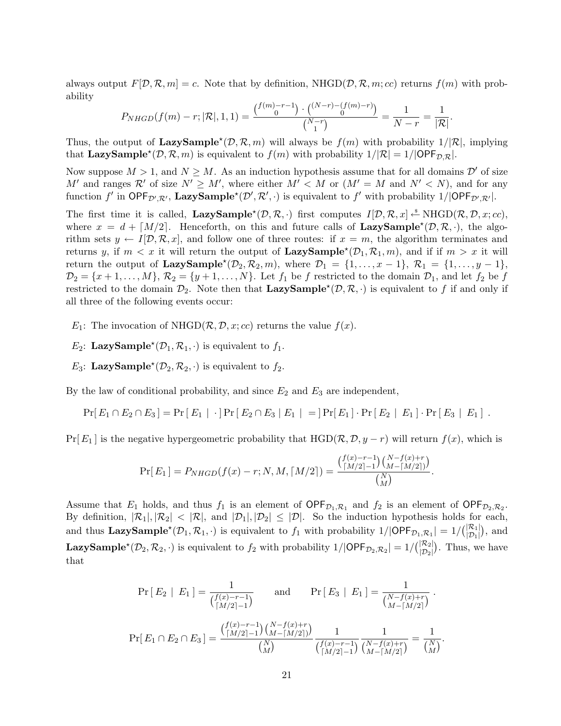always output  $F[\mathcal{D}, \mathcal{R}, m] = c$ . Note that by definition, NHGD( $\mathcal{D}, \mathcal{R}, m; cc$ ) returns  $f(m)$  with probability

$$
P_{NHGD}(f(m) - r; |\mathcal{R}|, 1, 1) = \frac{\binom{f(m) - r - 1}{0} \cdot \binom{(N - r) - (f(m) - r)}{0}}{\binom{N - r}{1}} = \frac{1}{N - r} = \frac{1}{|\mathcal{R}|}.
$$

Thus, the output of LazySample<sup>\*</sup> $(D, \mathcal{R}, m)$  will always be  $f(m)$  with probability  $1/|\mathcal{R}|$ , implying that LazySample<sup>\*</sup> $(D, \mathcal{R}, m)$  is equivalent to  $f(m)$  with probability  $1/|\mathcal{R}| = 1/|\text{OPT}_{D, \mathcal{R}}|$ .

Now suppose  $M > 1$ , and  $N \geq M$ . As an induction hypothesis assume that for all domains  $\mathcal{D}'$  of size M' and ranges  $\mathcal{R}'$  of size  $N' \geq M'$ , where either  $M' < M$  or  $(M' = M$  and  $N' < N$ ), and for any function f' in  $\mathsf{OPF}_{\mathcal{D}',\mathcal{R}'}, \mathbf{LazySample}^{\star}(\mathcal{D}', \mathcal{R}', \cdot)$  is equivalent to f' with probability  $1/|\mathsf{OPF}_{\mathcal{D}',\mathcal{R}'}|$ .

The first time it is called,  $\text{LazySample}^{\star}(\mathcal{D}, \mathcal{R}, \cdot)$  first computes  $I[\mathcal{D}, \mathcal{R}, x] \stackrel{\text{s}}{\leftarrow} \text{NHGD}(\mathcal{R}, \mathcal{D}, x; cc)$ , where  $x = d + [M/2]$ . Henceforth, on this and future calls of LazySample<sup>\*</sup> $(D, \mathcal{R}, \cdot)$ , the algorithm sets  $y \leftarrow I[D, \mathcal{R}, x]$ , and follow one of three routes: if  $x = m$ , the algorithm terminates and returns y, if  $m < x$  it will return the output of LazySample<sup>\*</sup> $(D_1, R_1, m)$ , and if if  $m > x$  it will return the output of LazySample<sup>\*</sup> $(\mathcal{D}_2, \mathcal{R}_2, m)$ , where  $\mathcal{D}_1 = \{1, \ldots, x-1\}$ ,  $\mathcal{R}_1 = \{1, \ldots, y-1\}$ ,  $\mathcal{D}_2 = \{x+1,\ldots,M\},\ \mathcal{R}_2 = \{y+1,\ldots,N\}.$  Let  $f_1$  be f restricted to the domain  $\mathcal{D}_1$ , and let  $f_2$  be f restricted to the domain  $\mathcal{D}_2$ . Note then that LazySample<sup>\*</sup> $(\mathcal{D}, \mathcal{R}, \cdot)$  is equivalent to f if and only if all three of the following events occur:

 $E_1$ : The invocation of NHGD( $\mathcal{R}, \mathcal{D}, x; cc$ ) returns the value  $f(x)$ .

- $E_2$ : LazySample<sup>\*</sup> $(\mathcal{D}_1, \mathcal{R}_1, \cdot)$  is equivalent to  $f_1$ .
- E<sub>3</sub>: **LazySample**<sup>\*</sup> $(\mathcal{D}_2, \mathcal{R}_2, \cdot)$  is equivalent to  $f_2$ .

By the law of conditional probability, and since  $E_2$  and  $E_3$  are independent,

$$
Pr[E_1 \cap E_2 \cap E_3] = Pr[E_1 | \cdot] Pr[E_2 \cap E_3 | E_1 | = ] Pr[E_1] \cdot Pr[E_2 | E_1] \cdot Pr[E_3 | E_1 ].
$$

 $Pr[E_1]$  is the negative hypergeometric probability that  $HGD(\mathcal{R}, \mathcal{D}, y - r)$  will return  $f(x)$ , which is

$$
\Pr[E_1] = P_{NHGD}(f(x) - r; N, M, \lceil M/2 \rceil) = \frac{\binom{f(x) - r - 1}{[M/2] - 1} \binom{N - f(x) + r}{[M/2] - 1}}{\binom{N}{M}}.
$$

Assume that  $E_1$  holds, and thus  $f_1$  is an element of  $\mathsf{OPF}_{\mathcal{D}_1,\mathcal{R}_1}$  and  $f_2$  is an element of  $\mathsf{OPF}_{\mathcal{D}_2,\mathcal{R}_2}$ . By definition,  $|\mathcal{R}_1|, |\mathcal{R}_2| < |\mathcal{R}|$ , and  $|\mathcal{D}_1|, |\mathcal{D}_2| \leq |\mathcal{D}|$ . So the induction hypothesis holds for each, and thus  $\text{LazySample}^{\star}(\mathcal{D}_1, \mathcal{R}_1, \cdot)$  is equivalent to  $f_1$  with probability  $1/|\text{OPF}_{\mathcal{D}_1, \mathcal{R}_1}| = 1/ {|\mathcal{R}_1| \choose |\mathcal{D}_1|}$ , and **LazySample**<sup>\*</sup>( $\mathcal{D}_2, \mathcal{R}_2, \cdot$ ) is equivalent to  $f_2$  with probability  $1/|\mathsf{OPT}_{\mathcal{D}_2, \mathcal{R}_2}| = 1/(\frac{|\mathcal{R}_2|}{|\mathcal{D}_2|})$ . Thus, we have that

$$
\Pr\left[E_2 \mid E_1\right] = \frac{1}{\binom{f(x) - r - 1}{\lfloor M/2 \rfloor - 1}} \quad \text{and} \quad \Pr\left[E_3 \mid E_1\right] = \frac{1}{\binom{N - f(x) + r}{\lfloor M - \lfloor M/2 \rfloor}}.
$$
\n
$$
\Pr\left[E_1 \cap E_2 \cap E_3\right] = \frac{\binom{f(x) - r - 1}{\lfloor M/2 \rfloor - 1} \binom{N - f(x) + r}{\lfloor M - \lfloor M/2 \rfloor - 1}}{\binom{N}{\lfloor M/2 \rfloor - 1}} \frac{1}{\binom{N - f(x) + r}{\lfloor M - \lfloor M/2 \rfloor}} = \frac{1}{\binom{N}{M}}.
$$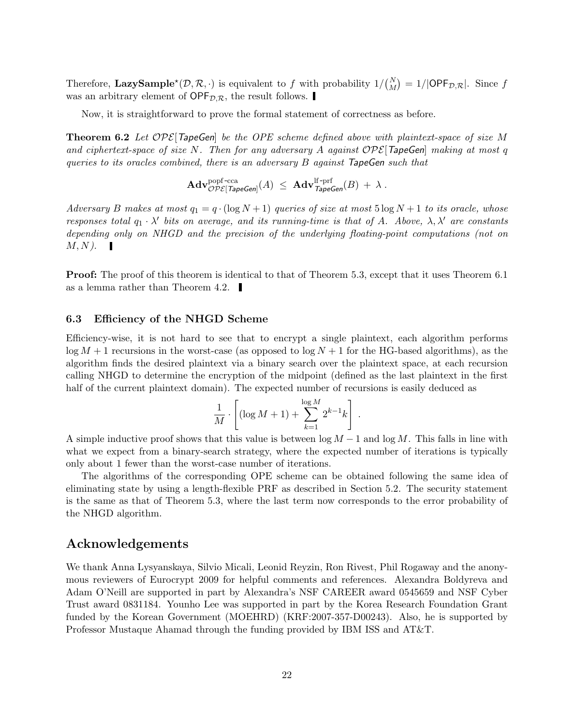Therefore, LazySample<sup>\*</sup> $(D, \mathcal{R}, \cdot)$  is equivalent to f with probability  $1/{N \choose M} = 1/|\mathsf{OPT}_{\mathcal{D},\mathcal{R}}|$ . Since f was an arbitrary element of  $\mathsf{OPF}_{\mathcal{D},\mathcal{R}}$ , the result follows.

Now, it is straightforward to prove the formal statement of correctness as before.

**Theorem 6.2** Let OPE [TapeGen] be the OPE scheme defined above with plaintext-space of size M and ciphertext-space of size N. Then for any adversary A against  $\mathcal{OPE}$ [TapeGen] making at most q queries to its oracles combined, there is an adversary B against TapeGen such that

$$
\mathbf{Adv}_{\mathcal{OPE}[TapeGen]}^{\mathrm{popf-cca}}(A) \ \leq \ \mathbf{Adv}_{TapeGen}^{\mathrm{lf-prf}}(B) \ + \ \lambda \ .
$$

Adversary B makes at most  $q_1 = q \cdot (\log N + 1)$  queries of size at most  $5 \log N + 1$  to its oracle, whose responses total  $q_1 \cdot \lambda'$  bits on average, and its running-time is that of A. Above,  $\lambda, \lambda'$  are constants depending only on NHGD and the precision of the underlying floating-point computations (not on  $M, N$ ).

**Proof:** The proof of this theorem is identical to that of Theorem 5.3, except that it uses Theorem 6.1 as a lemma rather than Theorem 4.2.

#### 6.3 Efficiency of the NHGD Scheme

Efficiency-wise, it is not hard to see that to encrypt a single plaintext, each algorithm performs  $log M + 1$  recursions in the worst-case (as opposed to  $log N + 1$  for the HG-based algorithms), as the algorithm finds the desired plaintext via a binary search over the plaintext space, at each recursion calling NHGD to determine the encryption of the midpoint (defined as the last plaintext in the first half of the current plaintext domain). The expected number of recursions is easily deduced as

$$
\frac{1}{M} \cdot \left[ (\log M + 1) + \sum_{k=1}^{\log M} 2^{k-1} k \right] .
$$

A simple inductive proof shows that this value is between  $\log M - 1$  and  $\log M$ . This falls in line with what we expect from a binary-search strategy, where the expected number of iterations is typically only about 1 fewer than the worst-case number of iterations.

The algorithms of the corresponding OPE scheme can be obtained following the same idea of eliminating state by using a length-flexible PRF as described in Section 5.2. The security statement is the same as that of Theorem 5.3, where the last term now corresponds to the error probability of the NHGD algorithm.

# Acknowledgements

We thank Anna Lysyanskaya, Silvio Micali, Leonid Reyzin, Ron Rivest, Phil Rogaway and the anonymous reviewers of Eurocrypt 2009 for helpful comments and references. Alexandra Boldyreva and Adam O'Neill are supported in part by Alexandra's NSF CAREER award 0545659 and NSF Cyber Trust award 0831184. Younho Lee was supported in part by the Korea Research Foundation Grant funded by the Korean Government (MOEHRD) (KRF:2007-357-D00243). Also, he is supported by Professor Mustaque Ahamad through the funding provided by IBM ISS and AT&T.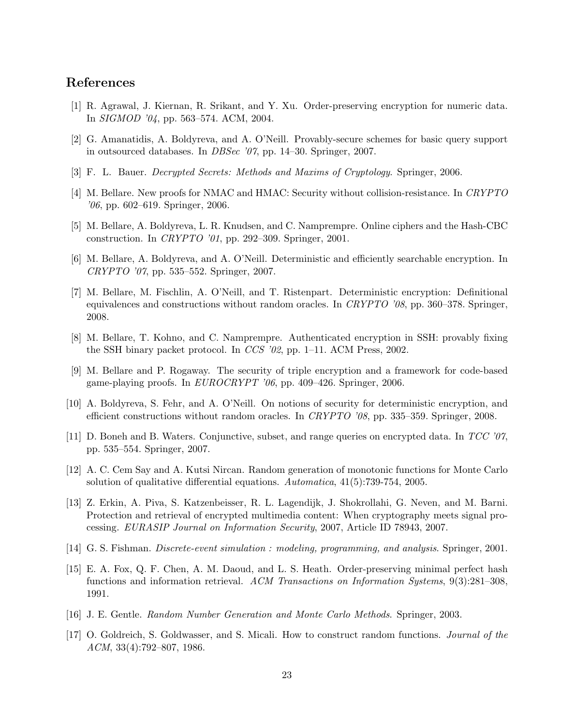## References

- [1] R. Agrawal, J. Kiernan, R. Srikant, and Y. Xu. Order-preserving encryption for numeric data. In SIGMOD '04, pp. 563–574. ACM, 2004.
- [2] G. Amanatidis, A. Boldyreva, and A. O'Neill. Provably-secure schemes for basic query support in outsourced databases. In DBSec '07, pp. 14–30. Springer, 2007.
- [3] F. L. Bauer. Decrypted Secrets: Methods and Maxims of Cryptology. Springer, 2006.
- [4] M. Bellare. New proofs for NMAC and HMAC: Security without collision-resistance. In CRYPTO '06, pp. 602–619. Springer, 2006.
- [5] M. Bellare, A. Boldyreva, L. R. Knudsen, and C. Namprempre. Online ciphers and the Hash-CBC construction. In CRYPTO '01, pp. 292–309. Springer, 2001.
- [6] M. Bellare, A. Boldyreva, and A. O'Neill. Deterministic and efficiently searchable encryption. In CRYPTO '07, pp. 535–552. Springer, 2007.
- [7] M. Bellare, M. Fischlin, A. O'Neill, and T. Ristenpart. Deterministic encryption: Definitional equivalences and constructions without random oracles. In CRYPTO '08, pp. 360–378. Springer, 2008.
- [8] M. Bellare, T. Kohno, and C. Namprempre. Authenticated encryption in SSH: provably fixing the SSH binary packet protocol. In CCS '02, pp. 1–11. ACM Press, 2002.
- [9] M. Bellare and P. Rogaway. The security of triple encryption and a framework for code-based game-playing proofs. In EUROCRYPT '06, pp. 409–426. Springer, 2006.
- [10] A. Boldyreva, S. Fehr, and A. O'Neill. On notions of security for deterministic encryption, and efficient constructions without random oracles. In CRYPTO '08, pp. 335–359. Springer, 2008.
- [11] D. Boneh and B. Waters. Conjunctive, subset, and range queries on encrypted data. In TCC '07, pp. 535–554. Springer, 2007.
- [12] A. C. Cem Say and A. Kutsi Nircan. Random generation of monotonic functions for Monte Carlo solution of qualitative differential equations. Automatica, 41(5):739-754, 2005.
- [13] Z. Erkin, A. Piva, S. Katzenbeisser, R. L. Lagendijk, J. Shokrollahi, G. Neven, and M. Barni. Protection and retrieval of encrypted multimedia content: When cryptography meets signal processing. EURASIP Journal on Information Security, 2007, Article ID 78943, 2007.
- [14] G. S. Fishman. Discrete-event simulation : modeling, programming, and analysis. Springer, 2001.
- [15] E. A. Fox, Q. F. Chen, A. M. Daoud, and L. S. Heath. Order-preserving minimal perfect hash functions and information retrieval. ACM Transactions on Information Systems, 9(3):281–308, 1991.
- [16] J. E. Gentle. Random Number Generation and Monte Carlo Methods. Springer, 2003.
- [17] O. Goldreich, S. Goldwasser, and S. Micali. How to construct random functions. Journal of the ACM, 33(4):792–807, 1986.